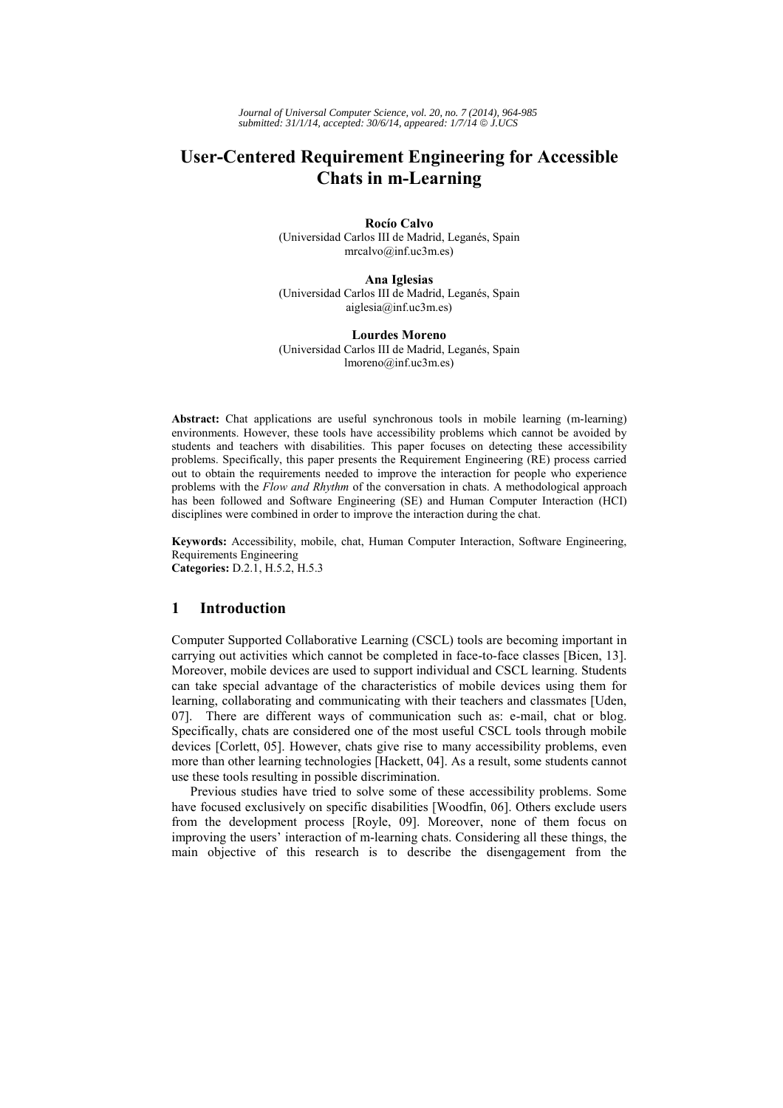*Journal of Universal Computer Science, vol. 20, no. 7 (2014), 964-985 submitted: 31/1/14, accepted: 30/6/14, appeared: 1/7/14* © *J.UCS*

# **User-Centered Requirement Engineering for Accessible Chats in m-Learning**

**Rocío Calvo** (Universidad Carlos III de Madrid, Leganés, Spain mrcalvo@inf.uc3m.es)

**Ana Iglesias** (Universidad Carlos III de Madrid, Leganés, Spain aiglesia@inf.uc3m.es)

**Lourdes Moreno** (Universidad Carlos III de Madrid, Leganés, Spain lmoreno@inf.uc3m.es)

**Abstract:** Chat applications are useful synchronous tools in mobile learning (m-learning) environments. However, these tools have accessibility problems which cannot be avoided by students and teachers with disabilities. This paper focuses on detecting these accessibility problems. Specifically, this paper presents the Requirement Engineering (RE) process carried out to obtain the requirements needed to improve the interaction for people who experience problems with the *Flow and Rhythm* of the conversation in chats. A methodological approach has been followed and Software Engineering (SE) and Human Computer Interaction (HCI) disciplines were combined in order to improve the interaction during the chat.

**Keywords:** Accessibility, mobile, chat, Human Computer Interaction, Software Engineering, Requirements Engineering **Categories:** D.2.1, H.5.2, H.5.3

### **1 Introduction**

Computer Supported Collaborative Learning (CSCL) tools are becoming important in carrying out activities which cannot be completed in face-to-face classes [Bicen, 13]. Moreover, mobile devices are used to support individual and CSCL learning. Students can take special advantage of the characteristics of mobile devices using them for learning, collaborating and communicating with their teachers and classmates [Uden, 07]. There are different ways of communication such as: e-mail, chat or blog. Specifically, chats are considered one of the most useful CSCL tools through mobile devices [Corlett, 05]. However, chats give rise to many accessibility problems, even more than other learning technologies [Hackett, 04]. As a result, some students cannot use these tools resulting in possible discrimination.

Previous studies have tried to solve some of these accessibility problems. Some have focused exclusively on specific disabilities [Woodfin, 06]. Others exclude users from the development process [Royle, 09]. Moreover, none of them focus on improving the users' interaction of m-learning chats. Considering all these things, the main objective of this research is to describe the disengagement from the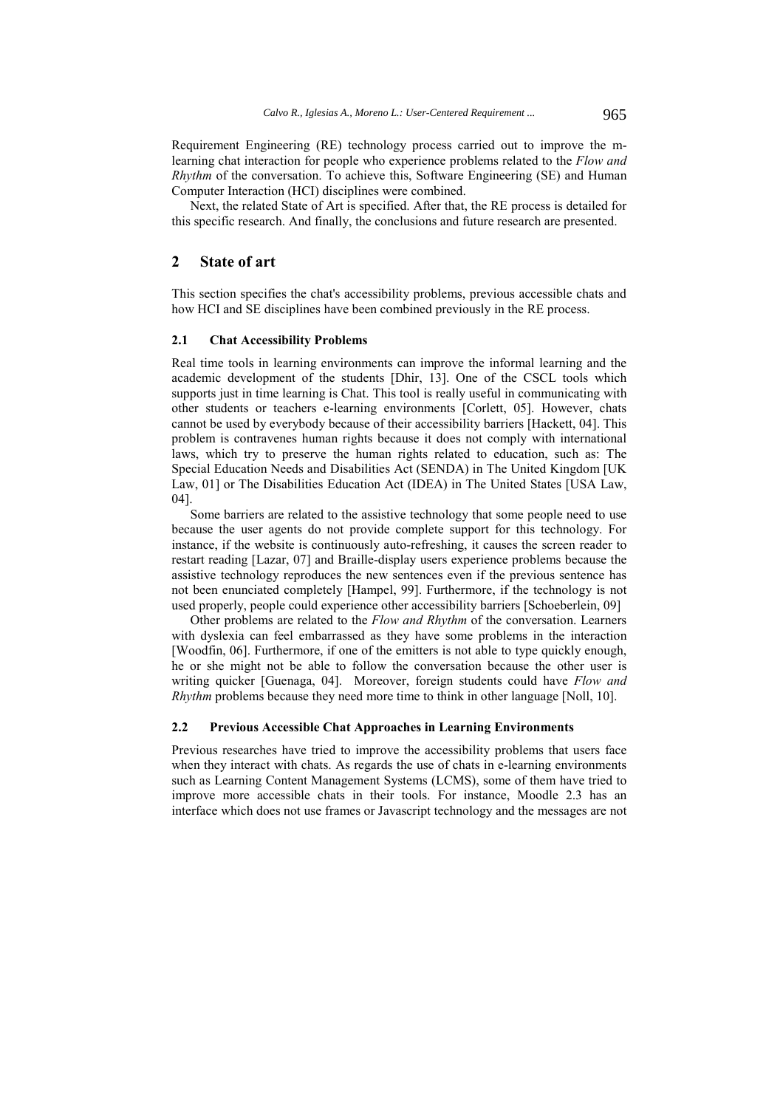Requirement Engineering (RE) technology process carried out to improve the mlearning chat interaction for people who experience problems related to the *Flow and Rhythm* of the conversation. To achieve this, Software Engineering (SE) and Human Computer Interaction (HCI) disciplines were combined.

Next, the related State of Art is specified. After that, the RE process is detailed for this specific research. And finally, the conclusions and future research are presented.

### **2 State of art**

This section specifies the chat's accessibility problems, previous accessible chats and how HCI and SE disciplines have been combined previously in the RE process.

# **2.1 Chat Accessibility Problems**

Real time tools in learning environments can improve the informal learning and the academic development of the students [Dhir, 13]. One of the CSCL tools which supports just in time learning is Chat. This tool is really useful in communicating with other students or teachers e-learning environments [Corlett, 05]. However, chats cannot be used by everybody because of their accessibility barriers [Hackett, 04]. This problem is contravenes human rights because it does not comply with international laws, which try to preserve the human rights related to education, such as: The Special Education Needs and Disabilities Act (SENDA) in The United Kingdom [UK Law, 01] or The Disabilities Education Act (IDEA) in The United States [USA Law, 04].

Some barriers are related to the assistive technology that some people need to use because the user agents do not provide complete support for this technology. For instance, if the website is continuously auto-refreshing, it causes the screen reader to restart reading [Lazar, 07] and Braille-display users experience problems because the assistive technology reproduces the new sentences even if the previous sentence has not been enunciated completely [Hampel, 99]. Furthermore, if the technology is not used properly, people could experience other accessibility barriers [Schoeberlein, 09]

Other problems are related to the *Flow and Rhythm* of the conversation. Learners with dyslexia can feel embarrassed as they have some problems in the interaction [Woodfin, 06]. Furthermore, if one of the emitters is not able to type quickly enough, he or she might not be able to follow the conversation because the other user is writing quicker [Guenaga, 04]. Moreover, foreign students could have *Flow and Rhythm* problems because they need more time to think in other language [Noll, 10].

### **2.2 Previous Accessible Chat Approaches in Learning Environments**

Previous researches have tried to improve the accessibility problems that users face when they interact with chats. As regards the use of chats in e-learning environments such as Learning Content Management Systems (LCMS), some of them have tried to improve more accessible chats in their tools. For instance, Moodle 2.3 has an interface which does not use frames or Javascript technology and the messages are not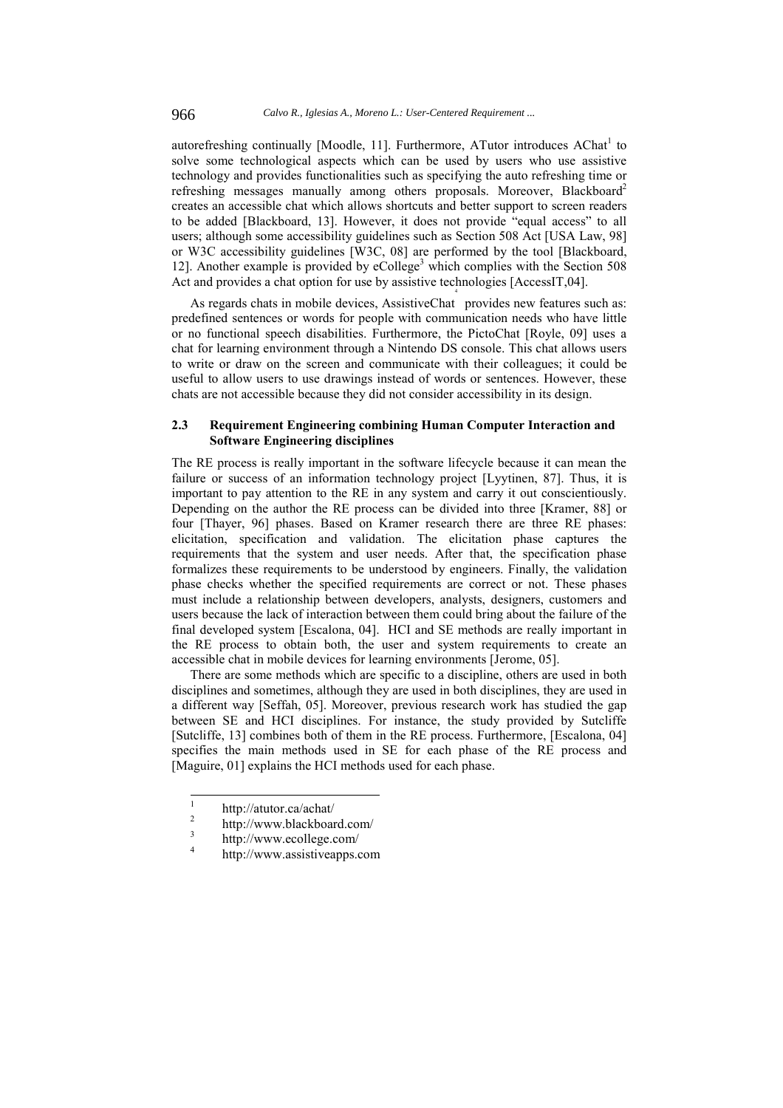autorefreshing continually [Moodle, 11]. Furthermore, ATutor introduces AChat<sup>1</sup> to solve some technological aspects which can be used by users who use assistive technology and provides functionalities such as specifying the auto refreshing time or refreshing messages manually among others proposals. Moreover, Blackboard<sup>2</sup> creates an accessible chat which allows shortcuts and better support to screen readers to be added [Blackboard, 13]. However, it does not provide "equal access" to all users; although some accessibility guidelines such as Section 508 Act [USA Law, 98] or W3C accessibility guidelines [W3C, 08] are performed by the tool [Blackboard, 12]. Another example is provided by eCollege<sup>3</sup> which complies with the Section 508 Act and provides a chat option for use by assistive technologies [AccessIT,04]. 4

As regards chats in mobile devices, AssistiveChat provides new features such as: predefined sentences or words for people with communication needs who have little or no functional speech disabilities. Furthermore, the PictoChat [Royle, 09] uses a chat for learning environment through a Nintendo DS console. This chat allows users to write or draw on the screen and communicate with their colleagues; it could be useful to allow users to use drawings instead of words or sentences. However, these chats are not accessible because they did not consider accessibility in its design.

## **2.3 Requirement Engineering combining Human Computer Interaction and Software Engineering disciplines**

The RE process is really important in the software lifecycle because it can mean the failure or success of an information technology project [Lyytinen, 87]. Thus, it is important to pay attention to the RE in any system and carry it out conscientiously. Depending on the author the RE process can be divided into three [Kramer, 88] or four [Thayer, 96] phases. Based on Kramer research there are three RE phases: elicitation, specification and validation. The elicitation phase captures the requirements that the system and user needs. After that, the specification phase formalizes these requirements to be understood by engineers. Finally, the validation phase checks whether the specified requirements are correct or not. These phases must include a relationship between developers, analysts, designers, customers and users because the lack of interaction between them could bring about the failure of the final developed system [Escalona, 04]. HCI and SE methods are really important in the RE process to obtain both, the user and system requirements to create an accessible chat in mobile devices for learning environments [Jerome, 05].

There are some methods which are specific to a discipline, others are used in both disciplines and sometimes, although they are used in both disciplines, they are used in a different way [Seffah, 05]. Moreover, previous research work has studied the gap between SE and HCI disciplines. For instance, the study provided by Sutcliffe [Sutcliffe, 13] combines both of them in the RE process. Furthermore, [Escalona, 04] specifies the main methods used in SE for each phase of the RE process and [Maguire, 01] explains the HCI methods used for each phase.

 1 http://atutor.ca/achat/

 $\overline{2}$ http://www.blackboard.com/

<sup>3</sup> http://www.ecollege.com/

<sup>4</sup> http://www.assistiveapps.com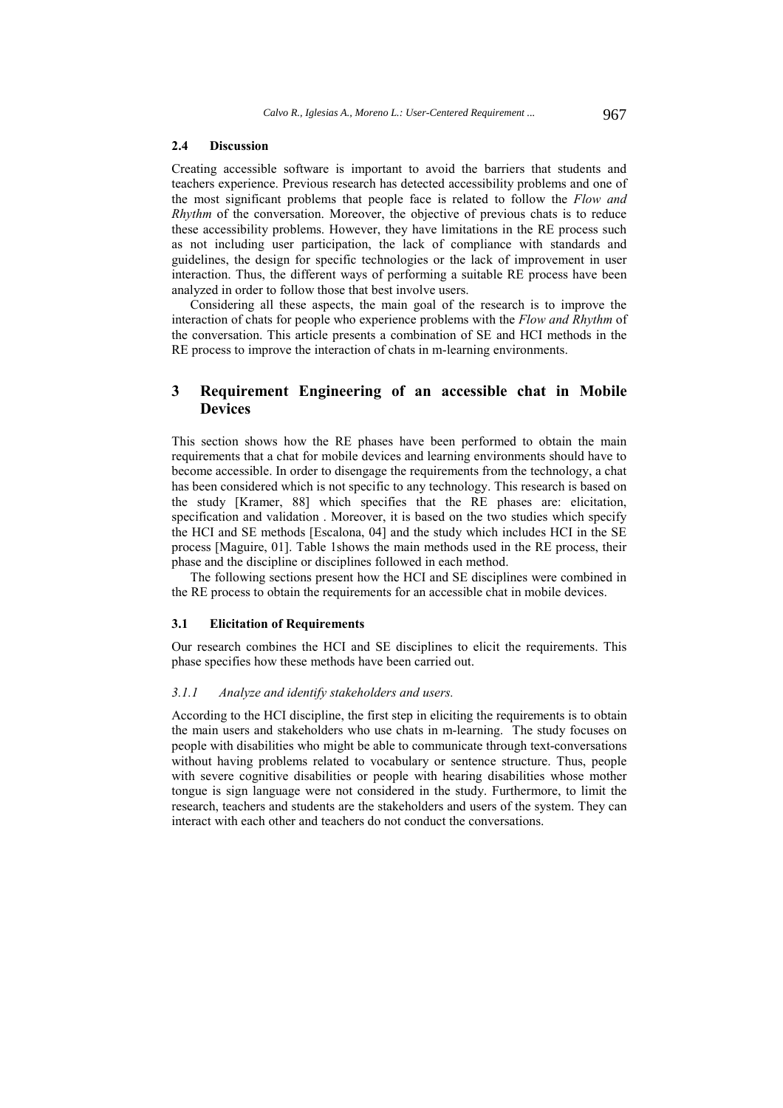#### **2.4 Discussion**

Creating accessible software is important to avoid the barriers that students and teachers experience. Previous research has detected accessibility problems and one of the most significant problems that people face is related to follow the *Flow and Rhythm* of the conversation. Moreover, the objective of previous chats is to reduce these accessibility problems. However, they have limitations in the RE process such as not including user participation, the lack of compliance with standards and guidelines, the design for specific technologies or the lack of improvement in user interaction. Thus, the different ways of performing a suitable RE process have been analyzed in order to follow those that best involve users.

Considering all these aspects, the main goal of the research is to improve the interaction of chats for people who experience problems with the *Flow and Rhythm* of the conversation. This article presents a combination of SE and HCI methods in the RE process to improve the interaction of chats in m-learning environments.

# **3 Requirement Engineering of an accessible chat in Mobile Devices**

This section shows how the RE phases have been performed to obtain the main requirements that a chat for mobile devices and learning environments should have to become accessible. In order to disengage the requirements from the technology, a chat has been considered which is not specific to any technology. This research is based on the study [Kramer, 88] which specifies that the RE phases are: elicitation, specification and validation . Moreover, it is based on the two studies which specify the HCI and SE methods [Escalona, 04] and the study which includes HCI in the SE process [Maguire, 01]. Table 1shows the main methods used in the RE process, their phase and the discipline or disciplines followed in each method.

The following sections present how the HCI and SE disciplines were combined in the RE process to obtain the requirements for an accessible chat in mobile devices.

#### **3.1 Elicitation of Requirements**

Our research combines the HCI and SE disciplines to elicit the requirements. This phase specifies how these methods have been carried out.

#### *3.1.1 Analyze and identify stakeholders and users.*

According to the HCI discipline, the first step in eliciting the requirements is to obtain the main users and stakeholders who use chats in m-learning. The study focuses on people with disabilities who might be able to communicate through text-conversations without having problems related to vocabulary or sentence structure. Thus, people with severe cognitive disabilities or people with hearing disabilities whose mother tongue is sign language were not considered in the study. Furthermore, to limit the research, teachers and students are the stakeholders and users of the system. They can interact with each other and teachers do not conduct the conversations.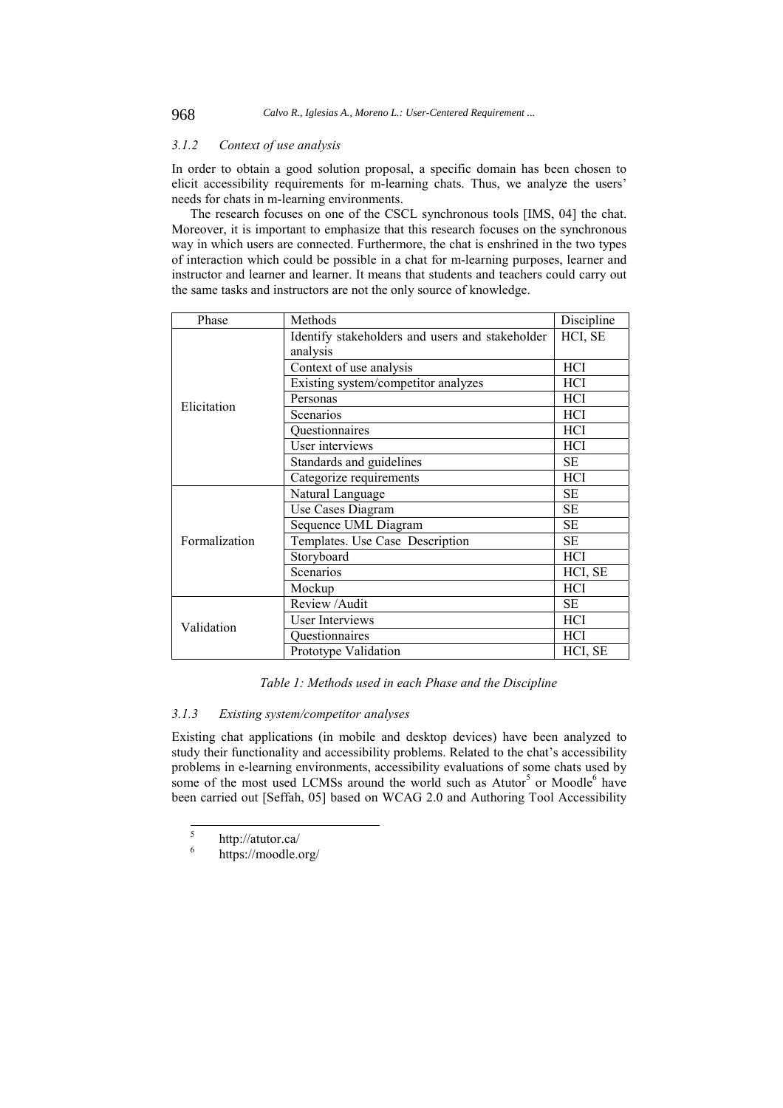### *3.1.2 Context of use analysis*

In order to obtain a good solution proposal, a specific domain has been chosen to elicit accessibility requirements for m-learning chats. Thus, we analyze the users' needs for chats in m-learning environments.

The research focuses on one of the CSCL synchronous tools [IMS, 04] the chat. Moreover, it is important to emphasize that this research focuses on the synchronous way in which users are connected. Furthermore, the chat is enshrined in the two types of interaction which could be possible in a chat for m-learning purposes, learner and instructor and learner and learner. It means that students and teachers could carry out the same tasks and instructors are not the only source of knowledge.

| Phase         | Methods                                         | Discipline |
|---------------|-------------------------------------------------|------------|
|               | Identify stakeholders and users and stakeholder | HCI, SE    |
|               | analysis                                        |            |
|               | Context of use analysis                         | <b>HCI</b> |
|               | Existing system/competitor analyzes             | <b>HCI</b> |
| Elicitation   | Personas                                        | <b>HCI</b> |
|               | Scenarios                                       | <b>HCI</b> |
|               | Questionnaires                                  | <b>HCI</b> |
|               | User interviews                                 | HCI        |
|               | Standards and guidelines                        | <b>SE</b>  |
|               | Categorize requirements                         | HCI        |
|               | Natural Language                                | <b>SE</b>  |
|               | Use Cases Diagram                               | <b>SE</b>  |
|               | Sequence UML Diagram                            | <b>SE</b>  |
| Formalization | Templates. Use Case Description                 | <b>SE</b>  |
|               | Storyboard                                      | <b>HCI</b> |
|               | Scenarios                                       | HCI, SE    |
|               | Mockup                                          | <b>HCI</b> |
|               | Review / Audit                                  | <b>SE</b>  |
| Validation    | <b>User Interviews</b>                          | HCI        |
|               | Questionnaires                                  | HCI        |
|               | Prototype Validation                            | HCI, SE    |

### *Table 1: Methods used in each Phase and the Discipline*

### *3.1.3 Existing system/competitor analyses*

Existing chat applications (in mobile and desktop devices) have been analyzed to study their functionality and accessibility problems. Related to the chat's accessibility problems in e-learning environments, accessibility evaluations of some chats used by some of the most used LCMSs around the world such as  $\text{Autotr}^5$  or Moodle<sup>6</sup> have been carried out [Seffah, 05] based on WCAG 2.0 and Authoring Tool Accessibility

 5 http://atutor.ca/

<sup>6</sup> https://moodle.org/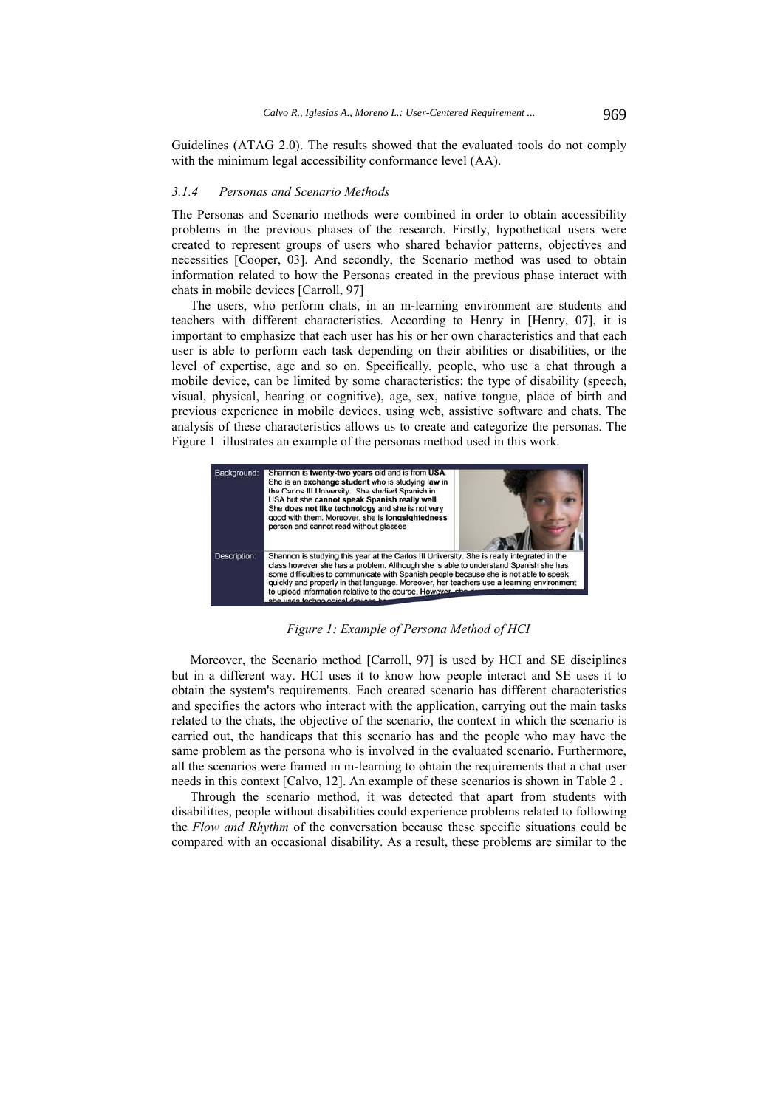Guidelines (ATAG 2.0). The results showed that the evaluated tools do not comply with the minimum legal accessibility conformance level (AA).

#### *3.1.4 Personas and Scenario Methods*

The Personas and Scenario methods were combined in order to obtain accessibility problems in the previous phases of the research. Firstly, hypothetical users were created to represent groups of users who shared behavior patterns, objectives and necessities [Cooper, 03]. And secondly, the Scenario method was used to obtain information related to how the Personas created in the previous phase interact with chats in mobile devices [Carroll, 97]

The users, who perform chats, in an m-learning environment are students and teachers with different characteristics. According to Henry in [Henry, 07], it is important to emphasize that each user has his or her own characteristics and that each user is able to perform each task depending on their abilities or disabilities, or the level of expertise, age and so on. Specifically, people, who use a chat through a mobile device, can be limited by some characteristics: the type of disability (speech, visual, physical, hearing or cognitive), age, sex, native tongue, place of birth and previous experience in mobile devices, using web, assistive software and chats. The analysis of these characteristics allows us to create and categorize the personas. The Figure 1 illustrates an example of the personas method used in this work.



*Figure 1: Example of Persona Method of HCI* 

Moreover, the Scenario method [Carroll, 97] is used by HCI and SE disciplines but in a different way. HCI uses it to know how people interact and SE uses it to obtain the system's requirements. Each created scenario has different characteristics and specifies the actors who interact with the application, carrying out the main tasks related to the chats, the objective of the scenario, the context in which the scenario is carried out, the handicaps that this scenario has and the people who may have the same problem as the persona who is involved in the evaluated scenario. Furthermore, all the scenarios were framed in m-learning to obtain the requirements that a chat user needs in this context [Calvo, 12]. An example of these scenarios is shown in Table 2 .

Through the scenario method, it was detected that apart from students with disabilities, people without disabilities could experience problems related to following the *Flow and Rhythm* of the conversation because these specific situations could be compared with an occasional disability. As a result, these problems are similar to the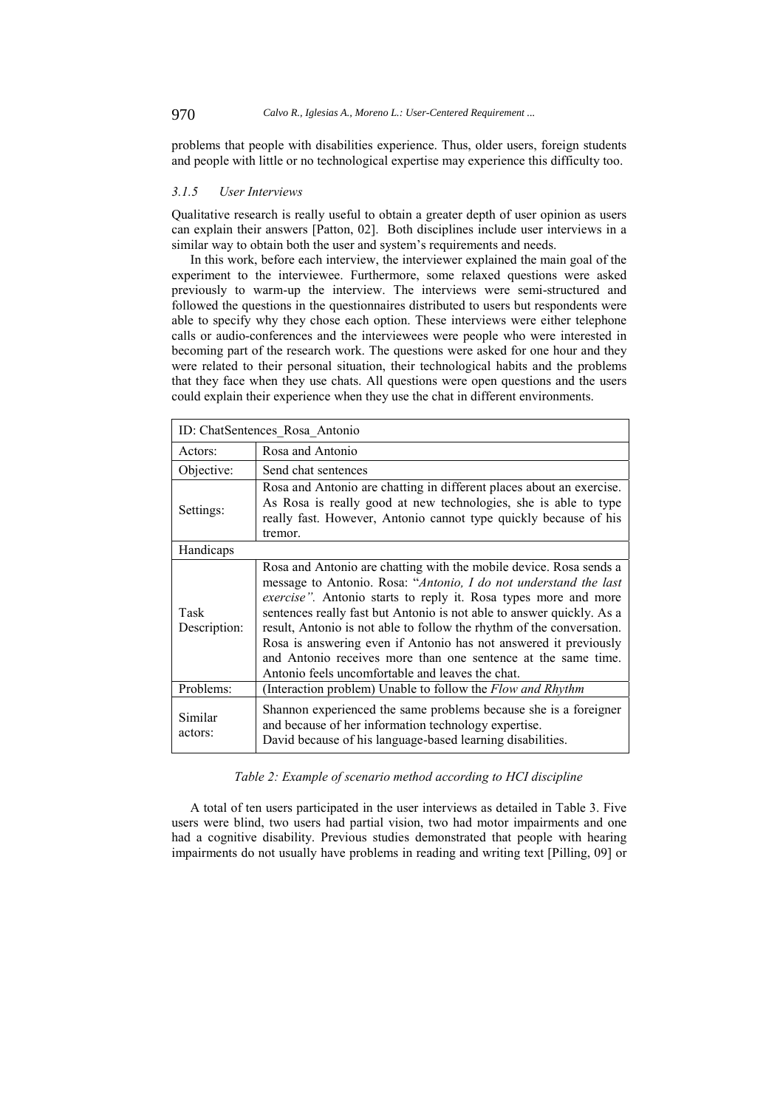problems that people with disabilities experience. Thus, older users, foreign students and people with little or no technological expertise may experience this difficulty too.

#### *3.1.5 User Interviews*

Qualitative research is really useful to obtain a greater depth of user opinion as users can explain their answers [Patton, 02]. Both disciplines include user interviews in a similar way to obtain both the user and system's requirements and needs.

In this work, before each interview, the interviewer explained the main goal of the experiment to the interviewee. Furthermore, some relaxed questions were asked previously to warm-up the interview. The interviews were semi-structured and followed the questions in the questionnaires distributed to users but respondents were able to specify why they chose each option. These interviews were either telephone calls or audio-conferences and the interviewees were people who were interested in becoming part of the research work. The questions were asked for one hour and they were related to their personal situation, their technological habits and the problems that they face when they use chats. All questions were open questions and the users could explain their experience when they use the chat in different environments.

| ID: ChatSentences Rosa Antonio |                                                                                                                                                                                                                                                                                                                                                                                                                                                                                                                                                              |  |  |  |
|--------------------------------|--------------------------------------------------------------------------------------------------------------------------------------------------------------------------------------------------------------------------------------------------------------------------------------------------------------------------------------------------------------------------------------------------------------------------------------------------------------------------------------------------------------------------------------------------------------|--|--|--|
| Actors:                        | Rosa and Antonio                                                                                                                                                                                                                                                                                                                                                                                                                                                                                                                                             |  |  |  |
| Objective:                     | Send chat sentences                                                                                                                                                                                                                                                                                                                                                                                                                                                                                                                                          |  |  |  |
| Settings:                      | Rosa and Antonio are chatting in different places about an exercise.<br>As Rosa is really good at new technologies, she is able to type<br>really fast. However, Antonio cannot type quickly because of his<br>tremor.                                                                                                                                                                                                                                                                                                                                       |  |  |  |
| Handicaps                      |                                                                                                                                                                                                                                                                                                                                                                                                                                                                                                                                                              |  |  |  |
| Task<br>Description:           | Rosa and Antonio are chatting with the mobile device. Rosa sends a<br>message to Antonio. Rosa: "Antonio, I do not understand the last<br><i>exercise</i> ". Antonio starts to reply it. Rosa types more and more<br>sentences really fast but Antonio is not able to answer quickly. As a<br>result, Antonio is not able to follow the rhythm of the conversation.<br>Rosa is answering even if Antonio has not answered it previously<br>and Antonio receives more than one sentence at the same time.<br>Antonio feels uncomfortable and leaves the chat. |  |  |  |
| Problems:                      | (Interaction problem) Unable to follow the Flow and Rhythm                                                                                                                                                                                                                                                                                                                                                                                                                                                                                                   |  |  |  |
| Similar<br>actors:             | Shannon experienced the same problems because she is a foreigner<br>and because of her information technology expertise.<br>David because of his language-based learning disabilities.                                                                                                                                                                                                                                                                                                                                                                       |  |  |  |

*Table 2: Example of scenario method according to HCI discipline* 

A total of ten users participated in the user interviews as detailed in Table 3. Five users were blind, two users had partial vision, two had motor impairments and one had a cognitive disability. Previous studies demonstrated that people with hearing impairments do not usually have problems in reading and writing text [Pilling, 09] or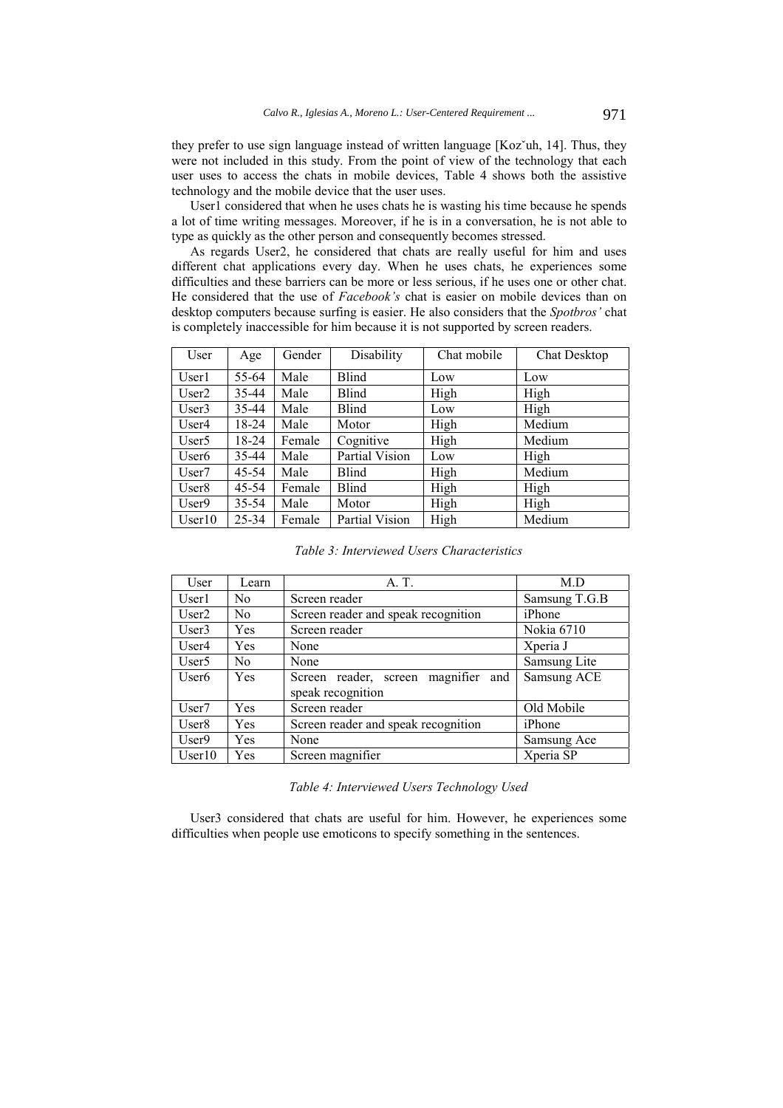they prefer to use sign language instead of written language [Kozˇuh, 14]. Thus, they were not included in this study. From the point of view of the technology that each user uses to access the chats in mobile devices, Table 4 shows both the assistive technology and the mobile device that the user uses.

User1 considered that when he uses chats he is wasting his time because he spends a lot of time writing messages. Moreover, if he is in a conversation, he is not able to type as quickly as the other person and consequently becomes stressed.

As regards User2, he considered that chats are really useful for him and uses different chat applications every day. When he uses chats, he experiences some difficulties and these barriers can be more or less serious, if he uses one or other chat. He considered that the use of *Facebook's* chat is easier on mobile devices than on desktop computers because surfing is easier. He also considers that the *Spotbros'* chat is completely inaccessible for him because it is not supported by screen readers.

| User              | Age   | Gender | Disability     | Chat mobile | <b>Chat Desktop</b> |
|-------------------|-------|--------|----------------|-------------|---------------------|
| User1             | 55-64 | Male   | Blind          | Low         | Low                 |
| User <sub>2</sub> | 35-44 | Male   | Blind          | High        | High                |
| User3             | 35-44 | Male   | Blind          | Low         | High                |
| User4             | 18-24 | Male   | Motor          | High        | Medium              |
| User <sub>5</sub> | 18-24 | Female | Cognitive      | High        | Medium              |
| User <sub>6</sub> | 35-44 | Male   | Partial Vision | Low         | High                |
| User <sub>7</sub> | 45-54 | Male   | Blind          | High        | Medium              |
| User8             | 45-54 | Female | Blind          | High        | High                |
| User9             | 35-54 | Male   | Motor          | High        | High                |
| User10            | 25-34 | Female | Partial Vision | High        | Medium              |

*Table 3: Interviewed Users Characteristics* 

| User              | Learn | A. T.                                                    | M.D           |
|-------------------|-------|----------------------------------------------------------|---------------|
| User1             | No    | Screen reader                                            | Samsung T.G.B |
| User <sub>2</sub> | No    | Screen reader and speak recognition                      | iPhone        |
| User3             | Yes   | Screen reader                                            | Nokia 6710    |
| User4             | Yes   | None                                                     | Xperia J      |
| User <sub>5</sub> | No    | None                                                     | Samsung Lite  |
| User <sub>6</sub> | Yes   | Screen reader, screen magnifier and<br>speak recognition | Samsung ACE   |
| User7             | Yes   | Screen reader                                            | Old Mobile    |
| User <sub>8</sub> | Yes   | Screen reader and speak recognition                      | iPhone        |
| User9             | Yes   | None                                                     | Samsung Ace   |
| User10            | Yes   | Screen magnifier                                         | Xperia SP     |

*Table 4: Interviewed Users Technology Used* 

User3 considered that chats are useful for him. However, he experiences some difficulties when people use emoticons to specify something in the sentences.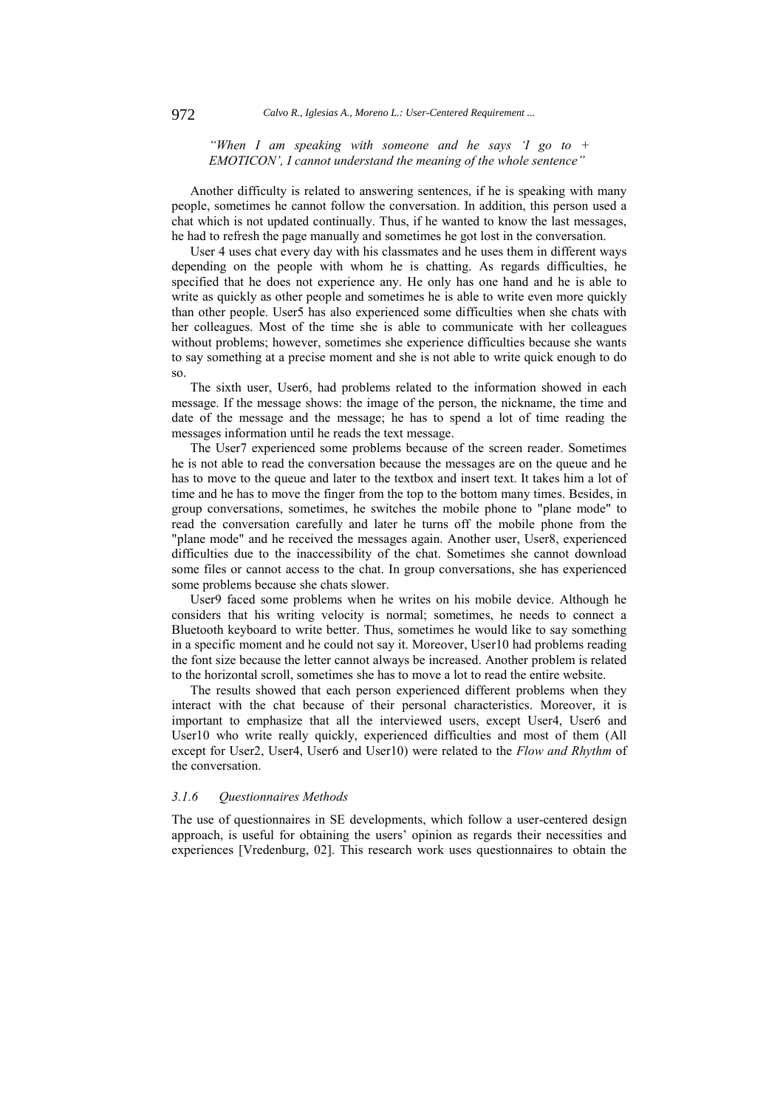### *"When I am speaking with someone and he says 'I go to + EMOTICON', I cannot understand the meaning of the whole sentence"*

Another difficulty is related to answering sentences, if he is speaking with many people, sometimes he cannot follow the conversation. In addition, this person used a chat which is not updated continually. Thus, if he wanted to know the last messages, he had to refresh the page manually and sometimes he got lost in the conversation.

User 4 uses chat every day with his classmates and he uses them in different ways depending on the people with whom he is chatting. As regards difficulties, he specified that he does not experience any. He only has one hand and he is able to write as quickly as other people and sometimes he is able to write even more quickly than other people. User5 has also experienced some difficulties when she chats with her colleagues. Most of the time she is able to communicate with her colleagues without problems; however, sometimes she experience difficulties because she wants to say something at a precise moment and she is not able to write quick enough to do so.

The sixth user, User6, had problems related to the information showed in each message. If the message shows: the image of the person, the nickname, the time and date of the message and the message; he has to spend a lot of time reading the messages information until he reads the text message.

The User7 experienced some problems because of the screen reader. Sometimes he is not able to read the conversation because the messages are on the queue and he has to move to the queue and later to the textbox and insert text. It takes him a lot of time and he has to move the finger from the top to the bottom many times. Besides, in group conversations, sometimes, he switches the mobile phone to "plane mode" to read the conversation carefully and later he turns off the mobile phone from the "plane mode" and he received the messages again. Another user, User8, experienced difficulties due to the inaccessibility of the chat. Sometimes she cannot download some files or cannot access to the chat. In group conversations, she has experienced some problems because she chats slower.

User9 faced some problems when he writes on his mobile device. Although he considers that his writing velocity is normal; sometimes, he needs to connect a Bluetooth keyboard to write better. Thus, sometimes he would like to say something in a specific moment and he could not say it. Moreover, User10 had problems reading the font size because the letter cannot always be increased. Another problem is related to the horizontal scroll, sometimes she has to move a lot to read the entire website.

The results showed that each person experienced different problems when they interact with the chat because of their personal characteristics. Moreover, it is important to emphasize that all the interviewed users, except User4, User6 and User10 who write really quickly, experienced difficulties and most of them (All except for User2, User4, User6 and User10) were related to the *Flow and Rhythm* of the conversation.

#### *3.1.6 Questionnaires Methods*

The use of questionnaires in SE developments, which follow a user-centered design approach, is useful for obtaining the users' opinion as regards their necessities and experiences [Vredenburg, 02]. This research work uses questionnaires to obtain the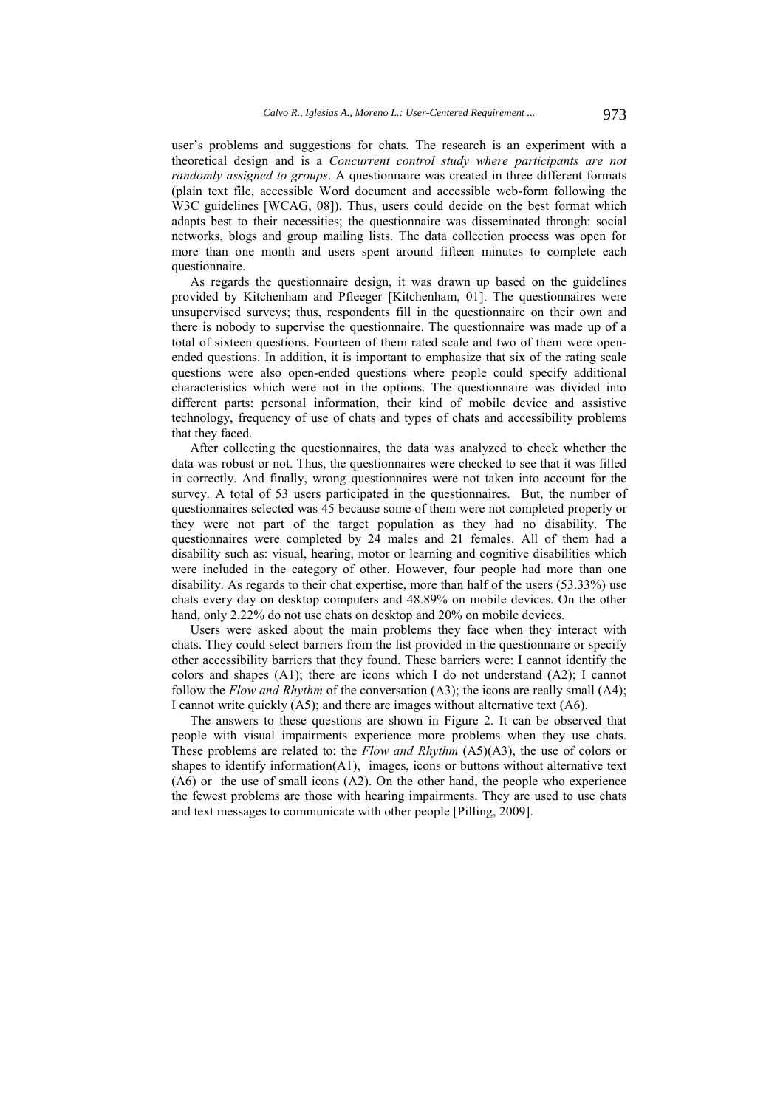user's problems and suggestions for chats. The research is an experiment with a theoretical design and is a *Concurrent control study where participants are not randomly assigned to groups*. A questionnaire was created in three different formats (plain text file, accessible Word document and accessible web-form following the W3C guidelines [WCAG, 08]). Thus, users could decide on the best format which adapts best to their necessities; the questionnaire was disseminated through: social networks, blogs and group mailing lists. The data collection process was open for more than one month and users spent around fifteen minutes to complete each questionnaire.

As regards the questionnaire design, it was drawn up based on the guidelines provided by Kitchenham and Pfleeger [Kitchenham, 01]. The questionnaires were unsupervised surveys; thus, respondents fill in the questionnaire on their own and there is nobody to supervise the questionnaire. The questionnaire was made up of a total of sixteen questions. Fourteen of them rated scale and two of them were openended questions. In addition, it is important to emphasize that six of the rating scale questions were also open-ended questions where people could specify additional characteristics which were not in the options. The questionnaire was divided into different parts: personal information, their kind of mobile device and assistive technology, frequency of use of chats and types of chats and accessibility problems that they faced.

After collecting the questionnaires, the data was analyzed to check whether the data was robust or not. Thus, the questionnaires were checked to see that it was filled in correctly. And finally, wrong questionnaires were not taken into account for the survey. A total of 53 users participated in the questionnaires. But, the number of questionnaires selected was 45 because some of them were not completed properly or they were not part of the target population as they had no disability. The questionnaires were completed by 24 males and 21 females. All of them had a disability such as: visual, hearing, motor or learning and cognitive disabilities which were included in the category of other. However, four people had more than one disability. As regards to their chat expertise, more than half of the users (53.33%) use chats every day on desktop computers and 48.89% on mobile devices. On the other hand, only 2.22% do not use chats on desktop and 20% on mobile devices.

Users were asked about the main problems they face when they interact with chats. They could select barriers from the list provided in the questionnaire or specify other accessibility barriers that they found. These barriers were: I cannot identify the colors and shapes (A1); there are icons which I do not understand (A2); I cannot follow the *Flow and Rhythm* of the conversation (A3); the icons are really small (A4); I cannot write quickly (A5); and there are images without alternative text (A6).

The answers to these questions are shown in Figure 2. It can be observed that people with visual impairments experience more problems when they use chats. These problems are related to: the *Flow and Rhythm* (A5)(A3), the use of colors or shapes to identify information(A1), images, icons or buttons without alternative text (A6) or the use of small icons (A2). On the other hand, the people who experience the fewest problems are those with hearing impairments. They are used to use chats and text messages to communicate with other people [Pilling, 2009].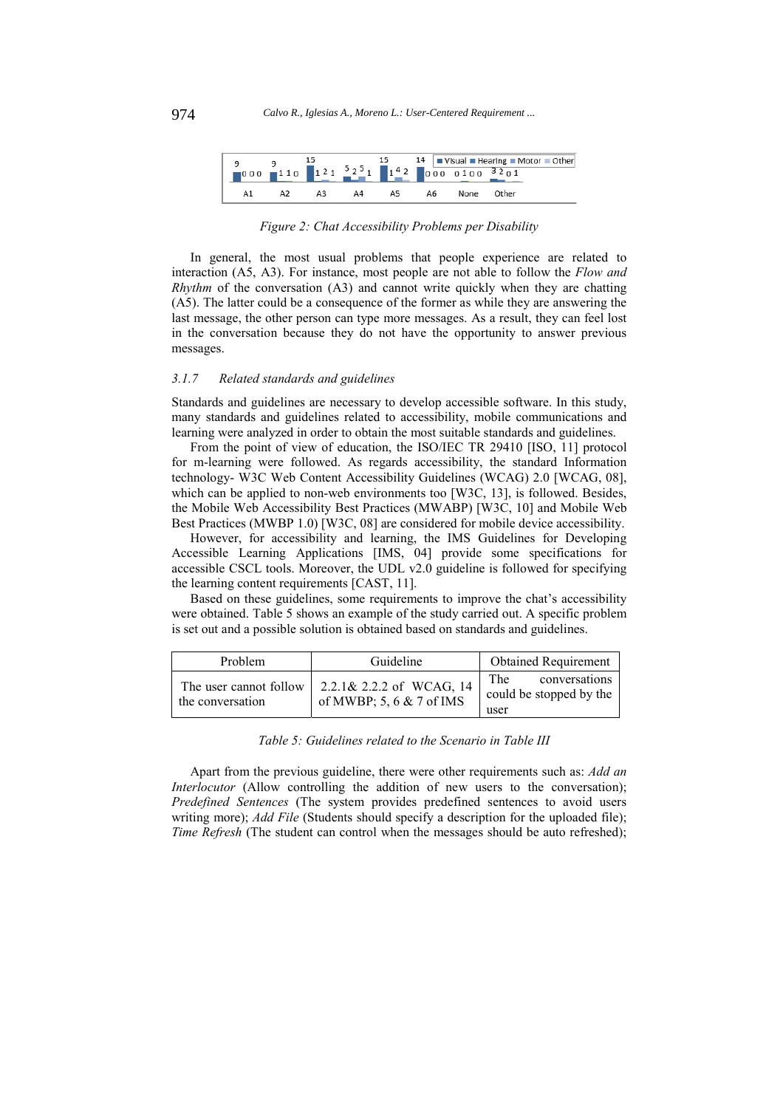

*Figure 2: Chat Accessibility Problems per Disability* 

In general, the most usual problems that people experience are related to interaction (A5, A3). For instance, most people are not able to follow the *Flow and Rhythm* of the conversation (A3) and cannot write quickly when they are chatting (A5). The latter could be a consequence of the former as while they are answering the last message, the other person can type more messages. As a result, they can feel lost in the conversation because they do not have the opportunity to answer previous messages.

#### *3.1.7 Related standards and guidelines*

Standards and guidelines are necessary to develop accessible software. In this study, many standards and guidelines related to accessibility, mobile communications and learning were analyzed in order to obtain the most suitable standards and guidelines.

From the point of view of education, the ISO/IEC TR 29410 [ISO, 11] protocol for m-learning were followed. As regards accessibility, the standard Information technology- W3C Web Content Accessibility Guidelines (WCAG) 2.0 [WCAG, 08], which can be applied to non-web environments too [W3C, 13], is followed. Besides, the Mobile Web Accessibility Best Practices (MWABP) [W3C, 10] and Mobile Web Best Practices (MWBP 1.0) [W3C, 08] are considered for mobile device accessibility.

However, for accessibility and learning, the IMS Guidelines for Developing Accessible Learning Applications [IMS, 04] provide some specifications for accessible CSCL tools. Moreover, the UDL v2.0 guideline is followed for specifying the learning content requirements [CAST, 11].

Based on these guidelines, some requirements to improve the chat's accessibility were obtained. Table 5 shows an example of the study carried out. A specific problem is set out and a possible solution is obtained based on standards and guidelines.

| Problem                                    | Guideline                                              | <b>Obtained Requirement</b>                             |
|--------------------------------------------|--------------------------------------------------------|---------------------------------------------------------|
| The user cannot follow<br>the conversation | 2.2.1& 2.2.2 of WCAG, 14<br>of MWBP; 5, 6 $& 7$ of IMS | The<br>conversations<br>could be stopped by the<br>user |

#### *Table 5: Guidelines related to the Scenario in Table III*

Apart from the previous guideline, there were other requirements such as: *Add an Interlocutor* (Allow controlling the addition of new users to the conversation); *Predefined Sentences* (The system provides predefined sentences to avoid users writing more); *Add File* (Students should specify a description for the uploaded file); *Time Refresh* (The student can control when the messages should be auto refreshed);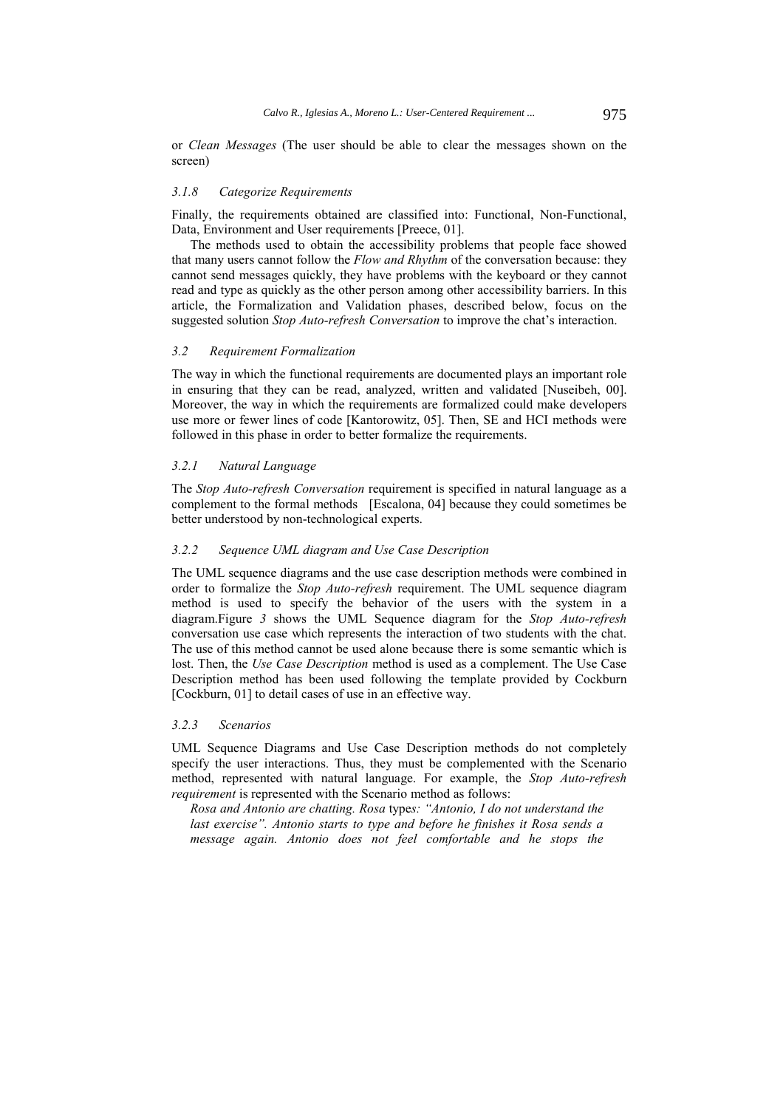or *Clean Messages* (The user should be able to clear the messages shown on the screen)

#### *3.1.8 Categorize Requirements*

Finally, the requirements obtained are classified into: Functional, Non-Functional, Data, Environment and User requirements [Preece, 01].

The methods used to obtain the accessibility problems that people face showed that many users cannot follow the *Flow and Rhythm* of the conversation because: they cannot send messages quickly, they have problems with the keyboard or they cannot read and type as quickly as the other person among other accessibility barriers. In this article, the Formalization and Validation phases, described below, focus on the suggested solution *Stop Auto-refresh Conversation* to improve the chat's interaction.

### *3.2 Requirement Formalization*

The way in which the functional requirements are documented plays an important role in ensuring that they can be read, analyzed, written and validated [Nuseibeh, 00]. Moreover, the way in which the requirements are formalized could make developers use more or fewer lines of code [Kantorowitz, 05]. Then, SE and HCI methods were followed in this phase in order to better formalize the requirements.

### *3.2.1 Natural Language*

The *Stop Auto-refresh Conversation* requirement is specified in natural language as a complement to the formal methods [Escalona, 04] because they could sometimes be better understood by non-technological experts.

#### *3.2.2 Sequence UML diagram and Use Case Description*

The UML sequence diagrams and the use case description methods were combined in order to formalize the *Stop Auto-refresh* requirement. The UML sequence diagram method is used to specify the behavior of the users with the system in a diagram.Figure *3* shows the UML Sequence diagram for the *Stop Auto-refresh*  conversation use case which represents the interaction of two students with the chat. The use of this method cannot be used alone because there is some semantic which is lost. Then, the *Use Case Description* method is used as a complement. The Use Case Description method has been used following the template provided by Cockburn [Cockburn, 01] to detail cases of use in an effective way.

#### *3.2.3 Scenarios*

UML Sequence Diagrams and Use Case Description methods do not completely specify the user interactions. Thus, they must be complemented with the Scenario method, represented with natural language. For example, the *Stop Auto-refresh requirement* is represented with the Scenario method as follows:

*Rosa and Antonio are chatting. Rosa* type*s: "Antonio, I do not understand the last exercise". Antonio starts to type and before he finishes it Rosa sends a message again. Antonio does not feel comfortable and he stops the*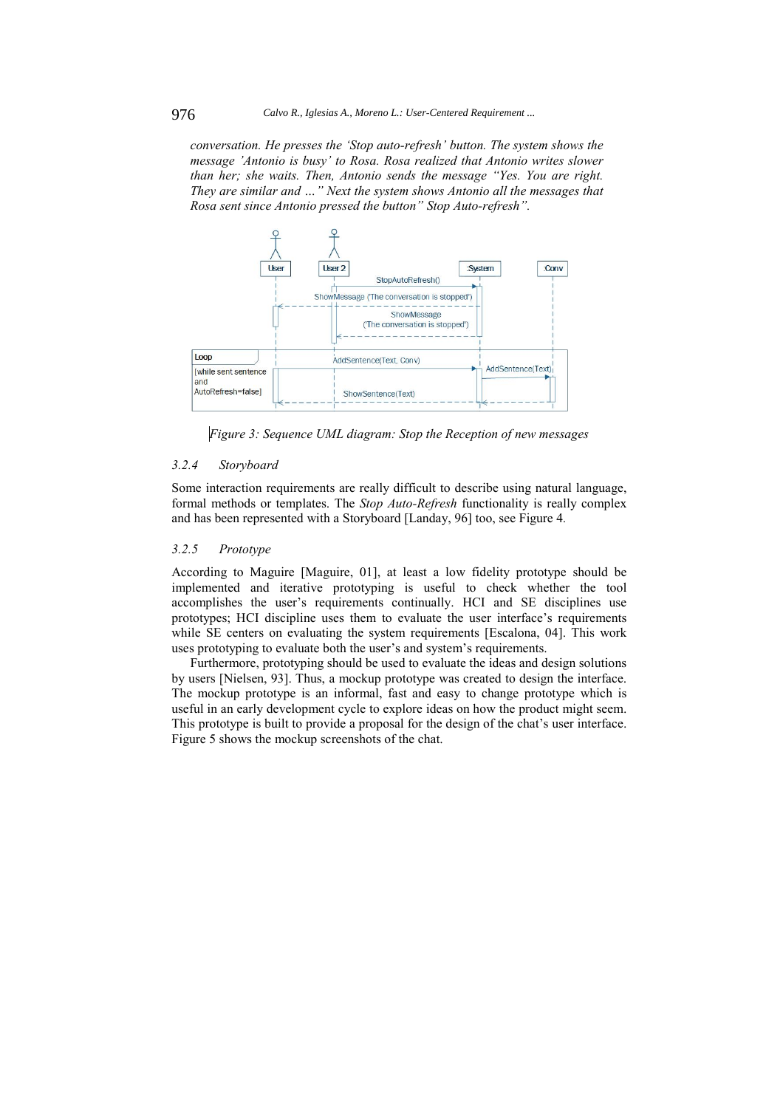*conversation. He presses the 'Stop auto-refresh' button. The system shows the message 'Antonio is busy' to Rosa. Rosa realized that Antonio writes slower than her; she waits. Then, Antonio sends the message "Yes. You are right. They are similar and …" Next the system shows Antonio all the messages that Rosa sent since Antonio pressed the button" Stop Auto-refresh".*



*Figure 3: Sequence UML diagram: Stop the Reception of new messages* 

#### *3.2.4 Storyboard*

Some interaction requirements are really difficult to describe using natural language, formal methods or templates. The *Stop Auto-Refresh* functionality is really complex and has been represented with a Storyboard [Landay, 96] too, see Figure 4*.*

#### *3.2.5 Prototype*

According to Maguire [Maguire, 01], at least a low fidelity prototype should be implemented and iterative prototyping is useful to check whether the tool accomplishes the user's requirements continually. HCI and SE disciplines use prototypes; HCI discipline uses them to evaluate the user interface's requirements while SE centers on evaluating the system requirements [Escalona, 04]. This work uses prototyping to evaluate both the user's and system's requirements.

Furthermore, prototyping should be used to evaluate the ideas and design solutions by users [Nielsen, 93]. Thus, a mockup prototype was created to design the interface. The mockup prototype is an informal, fast and easy to change prototype which is useful in an early development cycle to explore ideas on how the product might seem. This prototype is built to provide a proposal for the design of the chat's user interface. Figure 5 shows the mockup screenshots of the chat.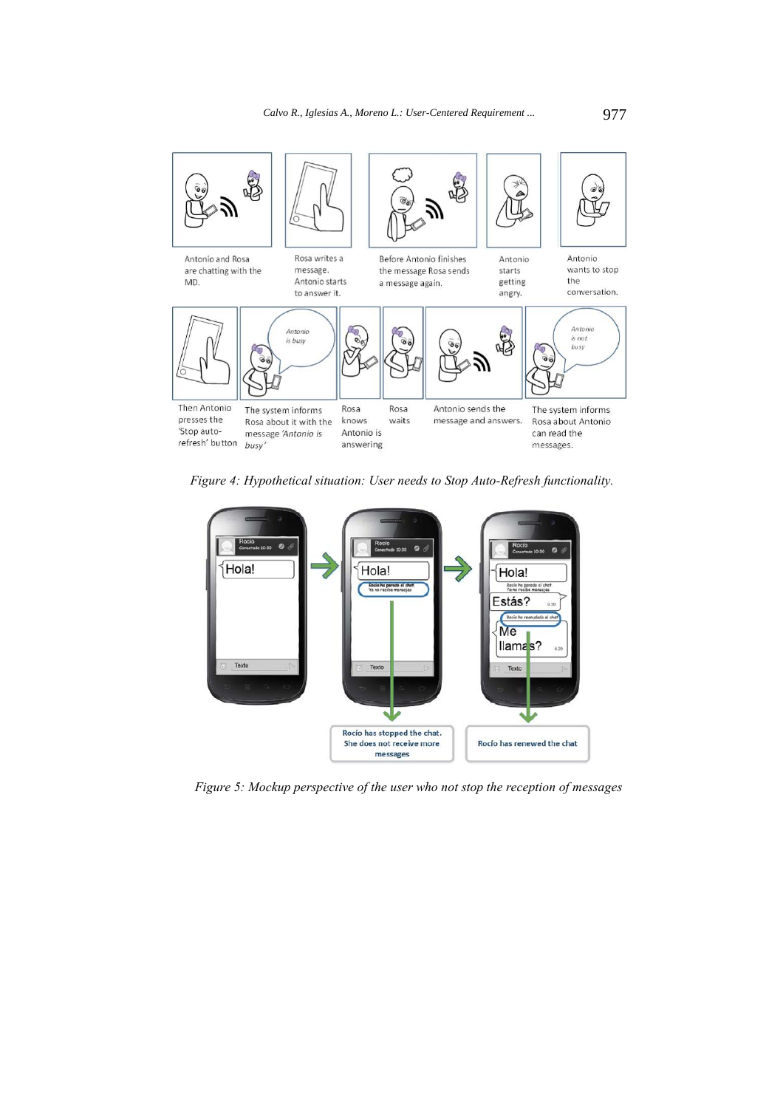

*Figure 4: Hypothetical situation: User needs to Stop Auto-Refresh functionality.*



*Figure 5: Mockup perspective of the user who not stop the reception of messages*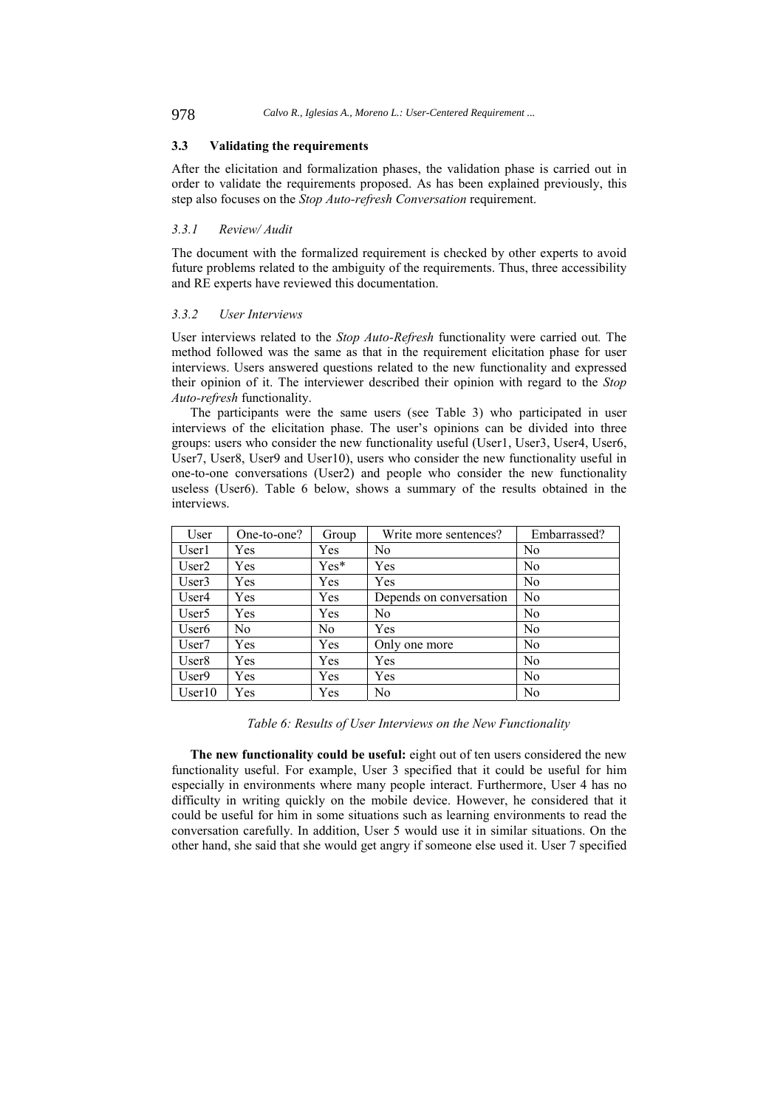### **3.3 Validating the requirements**

After the elicitation and formalization phases, the validation phase is carried out in order to validate the requirements proposed. As has been explained previously, this step also focuses on the *Stop Auto-refresh Conversation* requirement.

### *3.3.1 Review/ Audit*

The document with the formalized requirement is checked by other experts to avoid future problems related to the ambiguity of the requirements. Thus, three accessibility and RE experts have reviewed this documentation.

### *3.3.2 User Interviews*

User interviews related to the *Stop Auto-Refresh* functionality were carried out*.* The method followed was the same as that in the requirement elicitation phase for user interviews. Users answered questions related to the new functionality and expressed their opinion of it. The interviewer described their opinion with regard to the *Stop Auto-refresh* functionality.

The participants were the same users (see Table 3) who participated in user interviews of the elicitation phase. The user's opinions can be divided into three groups: users who consider the new functionality useful (User1, User3, User4, User6, User7, User8, User9 and User10), users who consider the new functionality useful in one-to-one conversations (User2) and people who consider the new functionality useless (User6). Table 6 below, shows a summary of the results obtained in the interviews.

| User              | One-to-one? | Group  | Write more sentences?   | Embarrassed?   |
|-------------------|-------------|--------|-------------------------|----------------|
| User1             | Yes         | Yes    | N <sub>0</sub>          | N <sub>0</sub> |
| User2             | Yes         | $Yes*$ | Yes                     | N <sub>0</sub> |
| User <sub>3</sub> | Yes         | Yes    | Yes                     | N <sub>0</sub> |
| User4             | Yes         | Yes    | Depends on conversation | No             |
| User <sub>5</sub> | Yes         | Yes    | N <sub>0</sub>          | N <sub>0</sub> |
| User <sub>6</sub> | No          | No     | Yes                     | N <sub>0</sub> |
| User <sub>7</sub> | Yes         | Yes    | Only one more           | No             |
| User <sub>8</sub> | Yes         | Yes    | Yes                     | N <sub>0</sub> |
| User9             | Yes         | Yes    | Yes                     | N <sub>0</sub> |
| User10            | Yes         | Yes    | N <sub>0</sub>          | N <sub>0</sub> |

*Table 6: Results of User Interviews on the New Functionality* 

**The new functionality could be useful:** eight out of ten users considered the new functionality useful. For example, User 3 specified that it could be useful for him especially in environments where many people interact. Furthermore, User 4 has no difficulty in writing quickly on the mobile device. However, he considered that it could be useful for him in some situations such as learning environments to read the conversation carefully. In addition, User 5 would use it in similar situations. On the other hand, she said that she would get angry if someone else used it. User 7 specified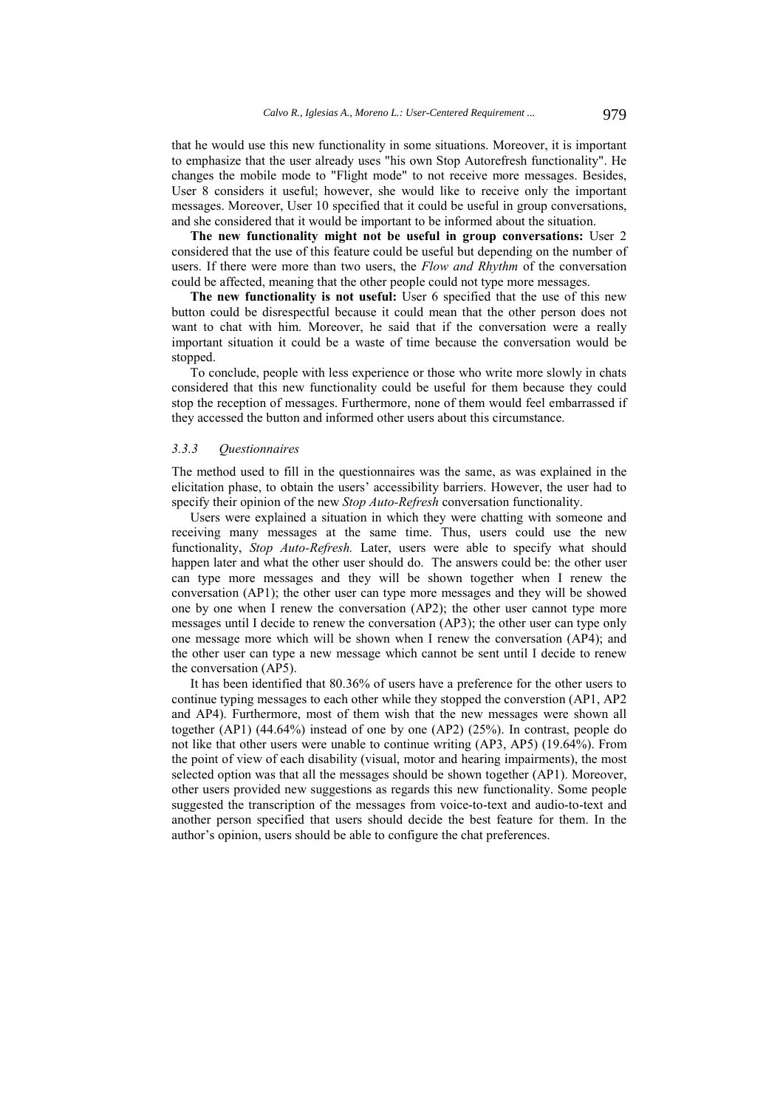that he would use this new functionality in some situations. Moreover, it is important to emphasize that the user already uses "his own Stop Autorefresh functionality". He changes the mobile mode to "Flight mode" to not receive more messages. Besides, User 8 considers it useful; however, she would like to receive only the important messages. Moreover, User 10 specified that it could be useful in group conversations, and she considered that it would be important to be informed about the situation.

**The new functionality might not be useful in group conversations:** User 2 considered that the use of this feature could be useful but depending on the number of users. If there were more than two users, the *Flow and Rhythm* of the conversation could be affected, meaning that the other people could not type more messages.

The new functionality is not useful: User 6 specified that the use of this new button could be disrespectful because it could mean that the other person does not want to chat with him. Moreover, he said that if the conversation were a really important situation it could be a waste of time because the conversation would be stopped.

To conclude, people with less experience or those who write more slowly in chats considered that this new functionality could be useful for them because they could stop the reception of messages. Furthermore, none of them would feel embarrassed if they accessed the button and informed other users about this circumstance.

### *3.3.3 Questionnaires*

The method used to fill in the questionnaires was the same, as was explained in the elicitation phase, to obtain the users' accessibility barriers. However, the user had to specify their opinion of the new *Stop Auto-Refresh* conversation functionality.

Users were explained a situation in which they were chatting with someone and receiving many messages at the same time. Thus, users could use the new functionality, *Stop Auto-Refresh.* Later, users were able to specify what should happen later and what the other user should do. The answers could be: the other user can type more messages and they will be shown together when I renew the conversation (AP1); the other user can type more messages and they will be showed one by one when I renew the conversation (AP2); the other user cannot type more messages until I decide to renew the conversation (AP3); the other user can type only one message more which will be shown when I renew the conversation (AP4); and the other user can type a new message which cannot be sent until I decide to renew the conversation (AP5).

It has been identified that 80.36% of users have a preference for the other users to continue typing messages to each other while they stopped the converstion (AP1, AP2 and AP4). Furthermore, most of them wish that the new messages were shown all together (AP1) (44.64%) instead of one by one (AP2) (25%). In contrast, people do not like that other users were unable to continue writing (AP3, AP5) (19.64%). From the point of view of each disability (visual, motor and hearing impairments), the most selected option was that all the messages should be shown together (AP1). Moreover, other users provided new suggestions as regards this new functionality. Some people suggested the transcription of the messages from voice-to-text and audio-to-text and another person specified that users should decide the best feature for them. In the author's opinion, users should be able to configure the chat preferences.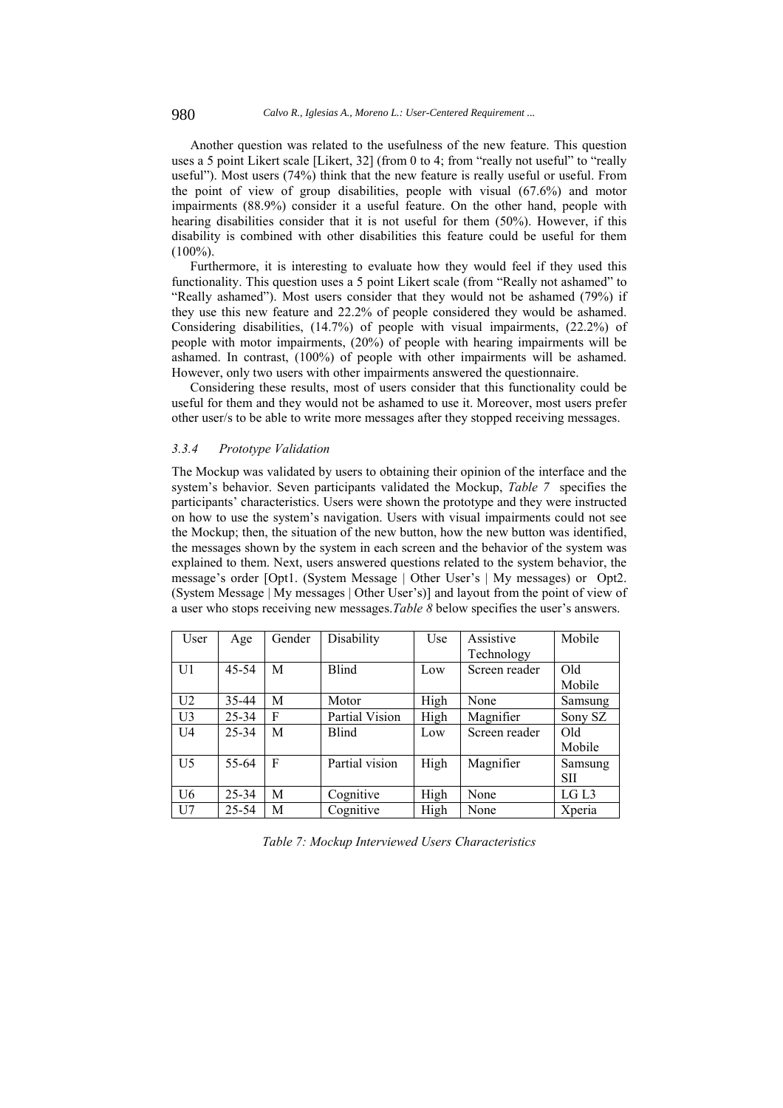Another question was related to the usefulness of the new feature. This question uses a 5 point Likert scale [Likert, 32] (from 0 to 4; from "really not useful" to "really useful"). Most users (74%) think that the new feature is really useful or useful. From the point of view of group disabilities, people with visual (67.6%) and motor impairments (88.9%) consider it a useful feature. On the other hand, people with hearing disabilities consider that it is not useful for them (50%). However, if this disability is combined with other disabilities this feature could be useful for them  $(100\%)$ .

Furthermore, it is interesting to evaluate how they would feel if they used this functionality. This question uses a 5 point Likert scale (from "Really not ashamed" to "Really ashamed"). Most users consider that they would not be ashamed (79%) if they use this new feature and 22.2% of people considered they would be ashamed. Considering disabilities, (14.7%) of people with visual impairments, (22.2%) of people with motor impairments, (20%) of people with hearing impairments will be ashamed. In contrast, (100%) of people with other impairments will be ashamed. However, only two users with other impairments answered the questionnaire.

Considering these results, most of users consider that this functionality could be useful for them and they would not be ashamed to use it. Moreover, most users prefer other user/s to be able to write more messages after they stopped receiving messages.

#### *3.3.4 Prototype Validation*

The Mockup was validated by users to obtaining their opinion of the interface and the system's behavior. Seven participants validated the Mockup, *Table 7* specifies the participants' characteristics. Users were shown the prototype and they were instructed on how to use the system's navigation. Users with visual impairments could not see the Mockup; then, the situation of the new button, how the new button was identified, the messages shown by the system in each screen and the behavior of the system was explained to them. Next, users answered questions related to the system behavior, the message's order [Opt1. (System Message | Other User's | My messages) or Opt2. (System Message | My messages | Other User's)] and layout from the point of view of a user who stops receiving new messages.*Table 8* below specifies the user's answers.

| User           | Age       | Gender | Disability     | Use  | Assistive     | Mobile     |
|----------------|-----------|--------|----------------|------|---------------|------------|
|                |           |        |                |      | Technology    |            |
| U1             | $45 - 54$ | M      | <b>Blind</b>   | Low  | Screen reader | Old        |
|                |           |        |                |      |               | Mobile     |
| U <sub>2</sub> | 35-44     | M      | Motor          | High | None          | Samsung    |
| U <sub>3</sub> | 25-34     | F      | Partial Vision | High | Magnifier     | Sony SZ    |
| U <sub>4</sub> | 25-34     | M      | <b>Blind</b>   | Low  | Screen reader | Old        |
|                |           |        |                |      |               | Mobile     |
| U <sub>5</sub> | 55-64     | F      | Partial vision | High | Magnifier     | Samsung    |
|                |           |        |                |      |               | <b>SII</b> |
| U <sub>6</sub> | 25-34     | M      | Cognitive      | High | None          | LG L3      |
| U7             | 25-54     | M      | Cognitive      | High | None          | Xperia     |

*Table 7: Mockup Interviewed Users Characteristics*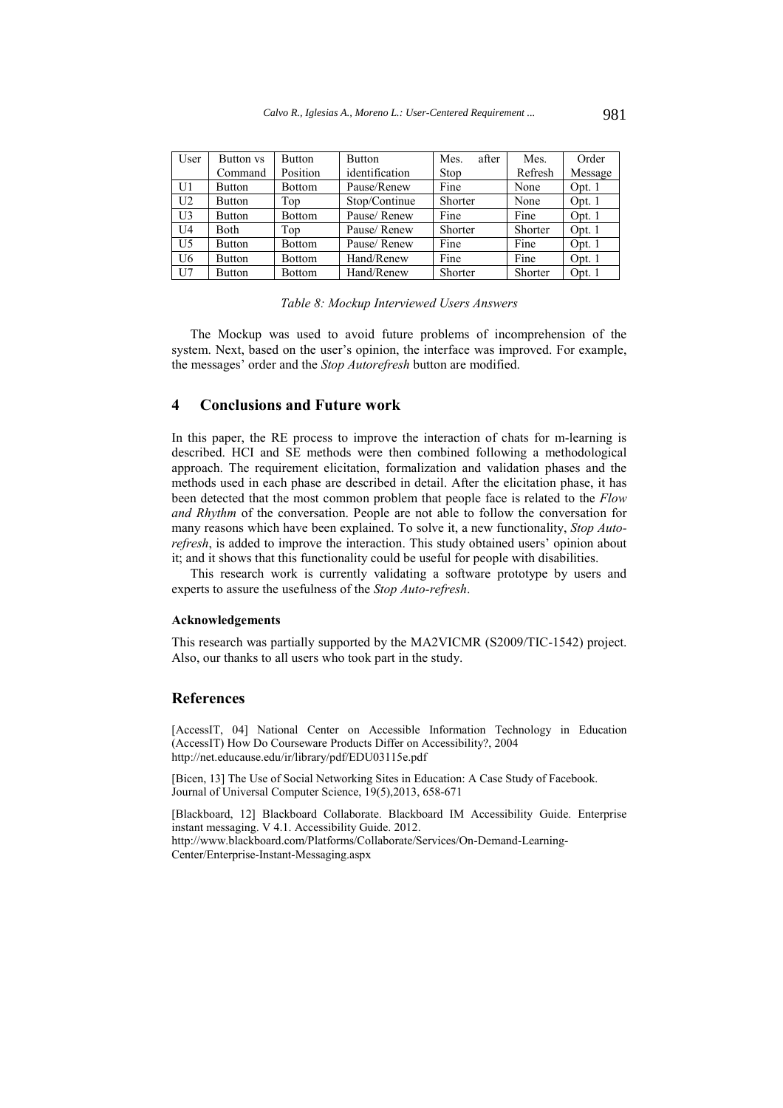| User           | Button vs     | <b>Button</b> | <b>Button</b>  | after<br>Mes. | Mes.    | Order    |
|----------------|---------------|---------------|----------------|---------------|---------|----------|
|                | Command       | Position      | identification | Stop          | Refresh | Message  |
| U1             | <b>Button</b> | <b>Bottom</b> | Pause/Renew    | Fine          | None    | Opt. 1   |
| U <sub>2</sub> | <b>Button</b> | Top           | Stop/Continue  | Shorter       | None    | Opt. 1   |
| U <sub>3</sub> | <b>Button</b> | <b>Bottom</b> | Pause/Renew    | Fine          | Fine    | Opt. 1   |
| U <sub>4</sub> | Both          | Top           | Pause/Renew    | Shorter       | Shorter | Opt. $1$ |
| U <sub>5</sub> | <b>Button</b> | <b>Bottom</b> | Pause/Renew    | Fine          | Fine    | Opt. 1   |
| U <sub>6</sub> | <b>Button</b> | <b>Bottom</b> | Hand/Renew     | Fine          | Fine    | Opt. 1   |
| U <sub>7</sub> | <b>Button</b> | <b>Bottom</b> | Hand/Renew     | Shorter       | Shorter | Opt. 1   |

#### *Table 8: Mockup Interviewed Users Answers*

The Mockup was used to avoid future problems of incomprehension of the system. Next, based on the user's opinion, the interface was improved. For example, the messages' order and the *Stop Autorefresh* button are modified.

# **4 Conclusions and Future work**

In this paper, the RE process to improve the interaction of chats for m-learning is described. HCI and SE methods were then combined following a methodological approach. The requirement elicitation, formalization and validation phases and the methods used in each phase are described in detail. After the elicitation phase, it has been detected that the most common problem that people face is related to the *Flow and Rhythm* of the conversation. People are not able to follow the conversation for many reasons which have been explained. To solve it, a new functionality, *Stop Autorefresh*, is added to improve the interaction. This study obtained users' opinion about it; and it shows that this functionality could be useful for people with disabilities.

This research work is currently validating a software prototype by users and experts to assure the usefulness of the *Stop Auto-refresh*.

#### **Acknowledgements**

This research was partially supported by the MA2VICMR (S2009/TIC-1542) project. Also, our thanks to all users who took part in the study.

# **References**

[AccessIT, 04] National Center on Accessible Information Technology in Education (AccessIT) How Do Courseware Products Differ on Accessibility?, 2004 http://net.educause.edu/ir/library/pdf/EDU03115e.pdf

[Bicen, 13] The Use of Social Networking Sites in Education: A Case Study of Facebook. Journal of Universal Computer Science, 19(5),2013, 658-671

[Blackboard, 12] Blackboard Collaborate. Blackboard IM Accessibility Guide. Enterprise instant messaging. V 4.1. Accessibility Guide. 2012. http://www.blackboard.com/Platforms/Collaborate/Services/On-Demand-Learning-Center/Enterprise-Instant-Messaging.aspx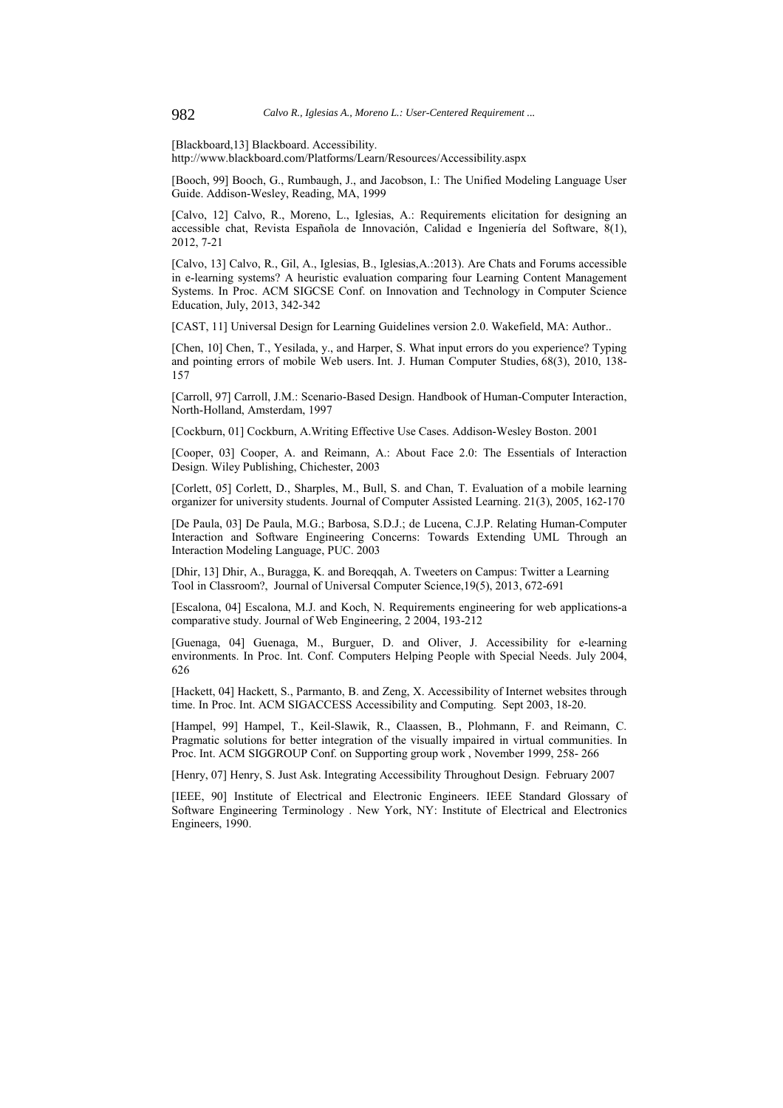[Blackboard,13] Blackboard. Accessibility.

http://www.blackboard.com/Platforms/Learn/Resources/Accessibility.aspx

[Booch, 99] Booch, G., Rumbaugh, J., and Jacobson, I.: The Unified Modeling Language User Guide. Addison-Wesley, Reading, MA, 1999

[Calvo, 12] Calvo, R., Moreno, L., Iglesias, A.: Requirements elicitation for designing an accessible chat, Revista Española de Innovación, Calidad e Ingeniería del Software, 8(1), 2012, 7-21

[Calvo, 13] Calvo, R., Gil, A., Iglesias, B., Iglesias,A.:2013). Are Chats and Forums accessible in e-learning systems? A heuristic evaluation comparing four Learning Content Management Systems. In Proc. ACM SIGCSE Conf. on Innovation and Technology in Computer Science Education, July, 2013, 342-342

[CAST, 11] Universal Design for Learning Guidelines version 2.0. Wakefield, MA: Author..

[Chen, 10] Chen, T., Yesilada, y., and Harper, S. What input errors do you experience? Typing and pointing errors of mobile Web users. Int. J. Human Computer Studies, 68(3), 2010, 138- 157

[Carroll, 97] Carroll, J.M.: Scenario-Based Design. Handbook of Human-Computer Interaction, North-Holland, Amsterdam, 1997

[Cockburn, 01] Cockburn, A.Writing Effective Use Cases. Addison-Wesley Boston. 2001

[Cooper, 03] Cooper, A. and Reimann, A.: About Face 2.0: The Essentials of Interaction Design. Wiley Publishing, Chichester, 2003

[Corlett, 05] Corlett, D., Sharples, M., Bull, S. and Chan, T. Evaluation of a mobile learning organizer for university students. Journal of Computer Assisted Learning. 21(3), 2005, 162-170

[De Paula, 03] De Paula, M.G.; Barbosa, S.D.J.; de Lucena, C.J.P. Relating Human-Computer Interaction and Software Engineering Concerns: Towards Extending UML Through an Interaction Modeling Language, PUC. 2003

[Dhir, 13] Dhir, A., Buragga, K. and Boreqqah, A. Tweeters on Campus: Twitter a Learning Tool in Classroom?, Journal of Universal Computer Science,19(5), 2013, 672-691

[Escalona, 04] Escalona, M.J. and Koch, N. Requirements engineering for web applications-a comparative study. Journal of Web Engineering, 2 2004, 193-212

[Guenaga, 04] Guenaga, M., Burguer, D. and Oliver, J. Accessibility for e-learning environments. In Proc. Int. Conf. Computers Helping People with Special Needs. July 2004, 626

[Hackett, 04] Hackett, S., Parmanto, B. and Zeng, X. Accessibility of Internet websites through time. In Proc. Int. ACM SIGACCESS Accessibility and Computing. Sept 2003, 18-20.

[Hampel, 99] Hampel, T., Keil-Slawik, R., Claassen, B., Plohmann, F. and Reimann, C. Pragmatic solutions for better integration of the visually impaired in virtual communities. In Proc. Int. ACM SIGGROUP Conf. on Supporting group work , November 1999, 258- 266

[Henry, 07] Henry, S. Just Ask. Integrating Accessibility Throughout Design. February 2007

[IEEE, 90] Institute of Electrical and Electronic Engineers. IEEE Standard Glossary of Software Engineering Terminology . New York, NY: Institute of Electrical and Electronics Engineers, 1990.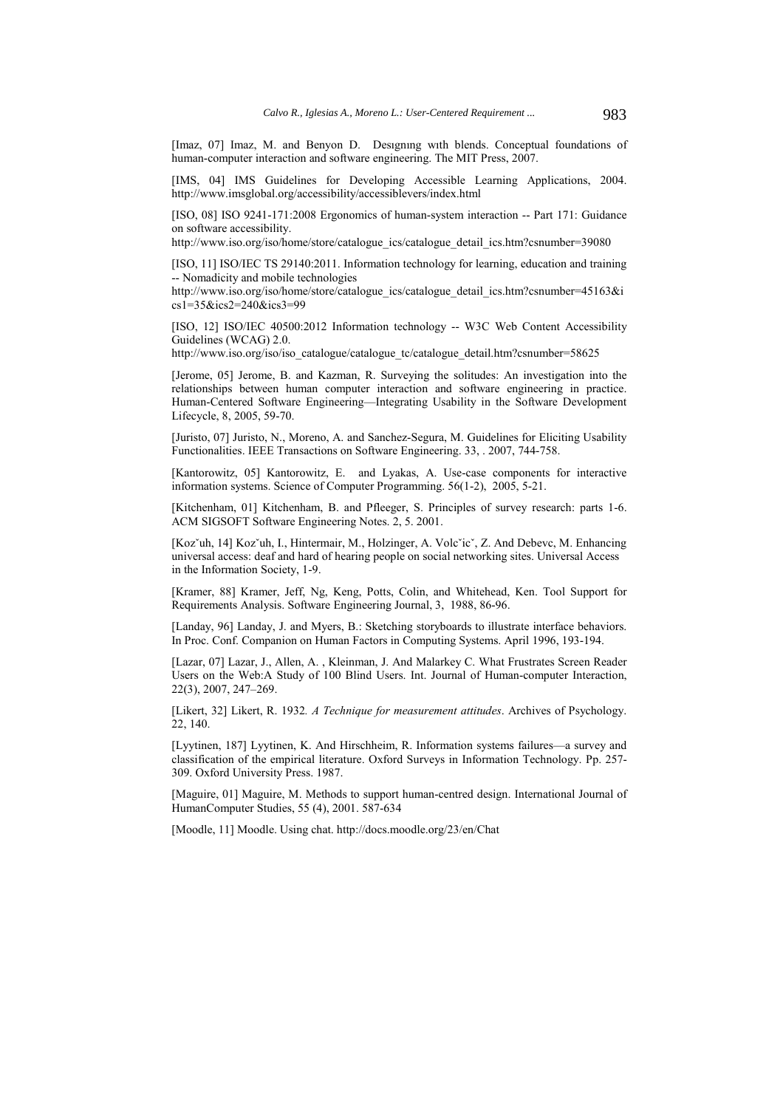[Imaz, 07] Imaz, M. and Benyon D. Designing with blends. Conceptual foundations of human-computer interaction and software engineering. The MIT Press, 2007.

[IMS, 04] IMS Guidelines for Developing Accessible Learning Applications, 2004. http://www.imsglobal.org/accessibility/accessiblevers/index.html

[ISO, 08] ISO 9241-171:2008 Ergonomics of human-system interaction -- Part 171: Guidance on software accessibility.

http://www.iso.org/iso/home/store/catalogue\_ics/catalogue\_detail\_ics.htm?csnumber=39080

[ISO, 11] ISO/IEC TS 29140:2011. Information technology for learning, education and training -- Nomadicity and mobile technologies

http://www.iso.org/iso/home/store/catalogue\_ics/catalogue\_detail\_ics.htm?csnumber=45163&i cs1=35&ics2=240&ics3=99

[ISO, 12] ISO/IEC 40500:2012 Information technology -- W3C Web Content Accessibility Guidelines (WCAG) 2.0.

http://www.iso.org/iso/iso\_catalogue/catalogue\_tc/catalogue\_detail.htm?csnumber=58625

[Jerome, 05] Jerome, B. and Kazman, R. Surveying the solitudes: An investigation into the relationships between human computer interaction and software engineering in practice. Human-Centered Software Engineering—Integrating Usability in the Software Development Lifecycle, 8, 2005, 59-70.

[Juristo, 07] Juristo, N., Moreno, A. and Sanchez-Segura, M. Guidelines for Eliciting Usability Functionalities. IEEE Transactions on Software Engineering. 33, . 2007, 744-758.

[Kantorowitz, 05] Kantorowitz, E. and Lyakas, A. Use-case components for interactive information systems. Science of Computer Programming. 56(1-2), 2005, 5-21.

[Kitchenham, 01] Kitchenham, B. and Pfleeger, S. Principles of survey research: parts 1-6. ACM SIGSOFT Software Engineering Notes. 2, 5. 2001.

[Kozˇuh, 14] Kozˇuh, I., Hintermair, M., Holzinger, A. Volcˇicˇ, Z. And Debevc, M. Enhancing universal access: deaf and hard of hearing people on social networking sites. Universal Access in the Information Society, 1-9.

[Kramer, 88] Kramer, Jeff, Ng, Keng, Potts, Colin, and Whitehead, Ken. Tool Support for Requirements Analysis. Software Engineering Journal, 3, 1988, 86-96.

[Landay, 96] Landay, J. and Myers, B.: Sketching storyboards to illustrate interface behaviors. In Proc. Conf. Companion on Human Factors in Computing Systems. April 1996, 193-194.

[Lazar, 07] Lazar, J., Allen, A. , Kleinman, J. And Malarkey C. What Frustrates Screen Reader Users on the Web:A Study of 100 Blind Users. Int. Journal of Human-computer Interaction, 22(3), 2007, 247–269.

[Likert, 32] Likert, R. 1932*. A Technique for measurement attitudes*. Archives of Psychology. 22, 140.

[Lyytinen, 187] Lyytinen, K. And Hirschheim, R. Information systems failures—a survey and classification of the empirical literature. Oxford Surveys in Information Technology. Pp. 257- 309. Oxford University Press. 1987.

[Maguire, 01] Maguire, M. Methods to support human-centred design. International Journal of HumanComputer Studies, 55 (4), 2001. 587-634

[Moodle, 11] Moodle. Using chat. http://docs.moodle.org/23/en/Chat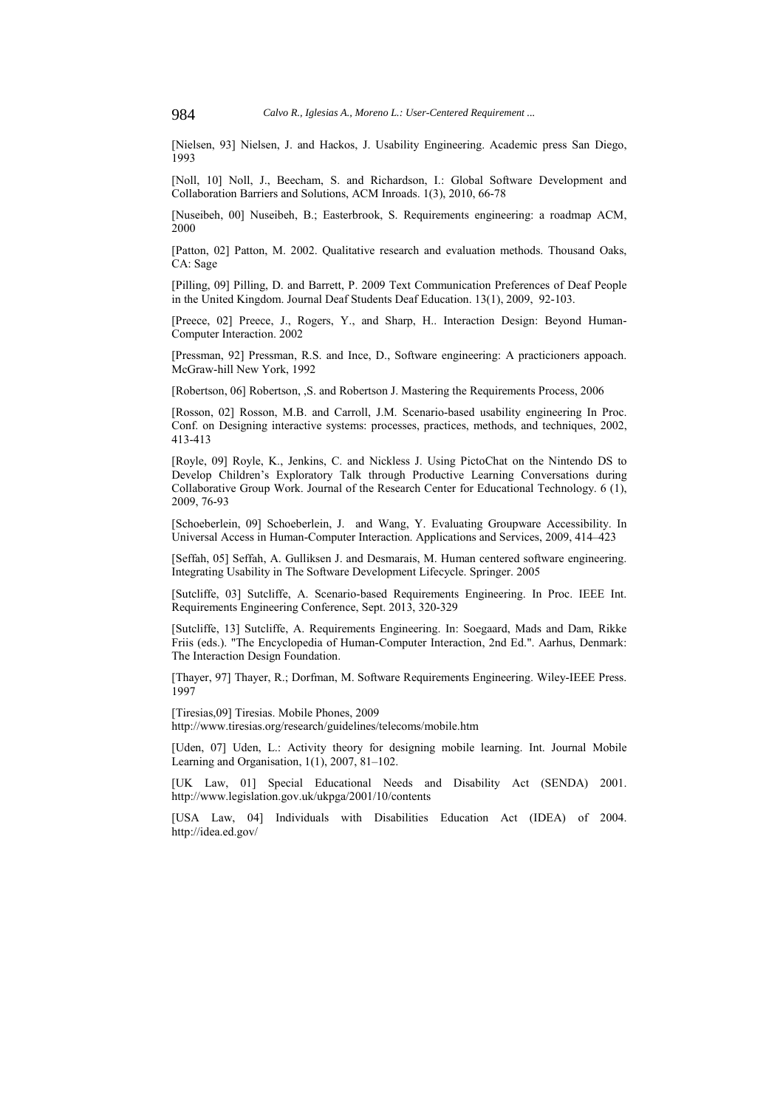[Nielsen, 93] Nielsen, J. and Hackos, J. Usability Engineering. Academic press San Diego, 1993

[Noll, 10] Noll, J., Beecham, S. and Richardson, I.: Global Software Development and Collaboration Barriers and Solutions, ACM Inroads. 1(3), 2010, 66-78

[Nuseibeh, 00] Nuseibeh, B.; Easterbrook, S. Requirements engineering: a roadmap ACM, 2000

[Patton, 02] Patton, M. 2002. Qualitative research and evaluation methods. Thousand Oaks, CA: Sage

[Pilling, 09] Pilling, D. and Barrett, P. 2009 Text Communication Preferences of Deaf People in the United Kingdom. Journal Deaf Students Deaf Education. 13(1), 2009, 92-103.

[Preece, 02] Preece, J., Rogers, Y., and Sharp, H.. Interaction Design: Beyond Human-Computer Interaction. 2002

[Pressman, 92] Pressman, R.S. and Ince, D., Software engineering: A practicioners appoach. McGraw-hill New York, 1992

[Robertson, 06] Robertson, ,S. and Robertson J. Mastering the Requirements Process, 2006

[Rosson, 02] Rosson, M.B. and Carroll, J.M. Scenario-based usability engineering In Proc. Conf. on Designing interactive systems: processes, practices, methods, and techniques, 2002, 413-413

[Royle, 09] Royle, K., Jenkins, C. and Nickless J. Using PictoChat on the Nintendo DS to Develop Children's Exploratory Talk through Productive Learning Conversations during Collaborative Group Work. Journal of the Research Center for Educational Technology. 6 (1), 2009, 76-93

[Schoeberlein, 09] Schoeberlein, J. and Wang, Y. Evaluating Groupware Accessibility. In Universal Access in Human-Computer Interaction. Applications and Services, 2009, 414–423

[Seffah, 05] Seffah, A. Gulliksen J. and Desmarais, M. Human centered software engineering. Integrating Usability in The Software Development Lifecycle. Springer. 2005

[Sutcliffe, 03] Sutcliffe, A. Scenario-based Requirements Engineering. In Proc. IEEE Int. Requirements Engineering Conference, Sept. 2013, 320-329

[Sutcliffe, 13] Sutcliffe, A. Requirements Engineering. In: Soegaard, Mads and Dam, Rikke Friis (eds.). "The Encyclopedia of Human-Computer Interaction, 2nd Ed.". Aarhus, Denmark: The Interaction Design Foundation.

[Thayer, 97] Thayer, R.; Dorfman, M. Software Requirements Engineering. Wiley-IEEE Press. 1997

[Tiresias,09] Tiresias. Mobile Phones, 2009 http://www.tiresias.org/research/guidelines/telecoms/mobile.htm

[Uden, 07] Uden, L.: Activity theory for designing mobile learning. Int. Journal Mobile Learning and Organisation, 1(1), 2007, 81–102.

[UK Law, 01] Special Educational Needs and Disability Act (SENDA) 2001. http://www.legislation.gov.uk/ukpga/2001/10/contents

[USA Law, 04] Individuals with Disabilities Education Act (IDEA) of 2004. http://idea.ed.gov/